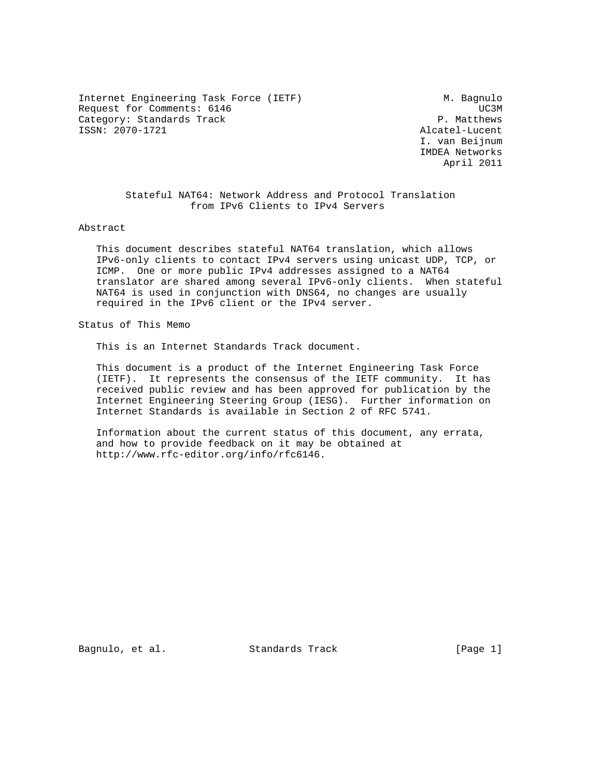Internet Engineering Task Force (IETF) M. Bagnulo Request for Comments: 6146 UC3M<br>
Category: Standards Track Category: Standards Track Category: Standards Track ISSN: 2070-1721 Alcatel-Lucent

 I. van Beijnum IMDEA Networks April 2011

 Stateful NAT64: Network Address and Protocol Translation from IPv6 Clients to IPv4 Servers

Abstract

 This document describes stateful NAT64 translation, which allows IPv6-only clients to contact IPv4 servers using unicast UDP, TCP, or ICMP. One or more public IPv4 addresses assigned to a NAT64 translator are shared among several IPv6-only clients. When stateful NAT64 is used in conjunction with DNS64, no changes are usually required in the IPv6 client or the IPv4 server.

Status of This Memo

This is an Internet Standards Track document.

 This document is a product of the Internet Engineering Task Force (IETF). It represents the consensus of the IETF community. It has received public review and has been approved for publication by the Internet Engineering Steering Group (IESG). Further information on Internet Standards is available in Section 2 of RFC 5741.

 Information about the current status of this document, any errata, and how to provide feedback on it may be obtained at http://www.rfc-editor.org/info/rfc6146.

Bagnulo, et al. Standards Track [Page 1]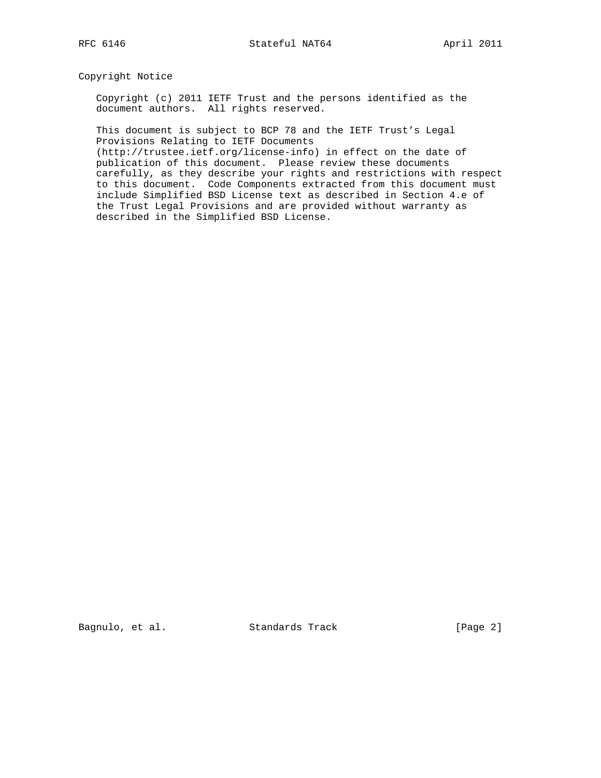Copyright Notice

 Copyright (c) 2011 IETF Trust and the persons identified as the document authors. All rights reserved.

 This document is subject to BCP 78 and the IETF Trust's Legal Provisions Relating to IETF Documents

 (http://trustee.ietf.org/license-info) in effect on the date of publication of this document. Please review these documents carefully, as they describe your rights and restrictions with respect to this document. Code Components extracted from this document must include Simplified BSD License text as described in Section 4.e of the Trust Legal Provisions and are provided without warranty as described in the Simplified BSD License.

Bagnulo, et al. Standards Track [Page 2]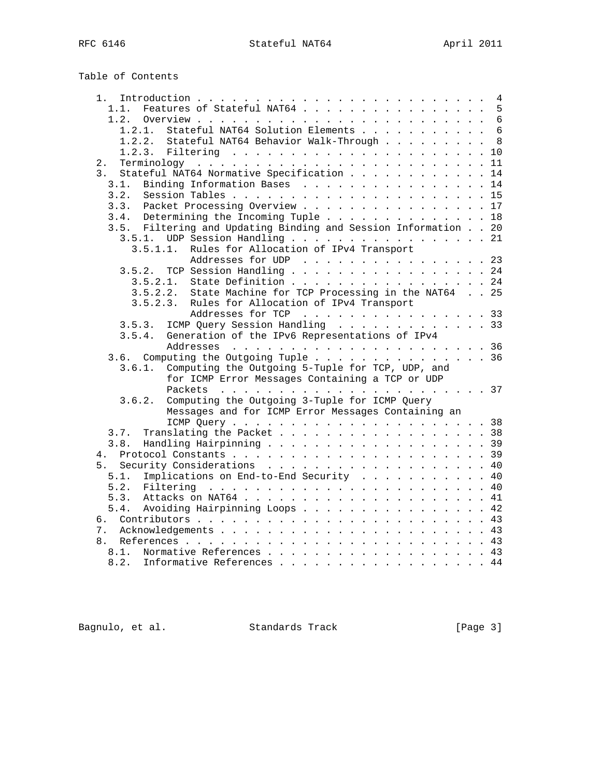| Table of Contents |
|-------------------|
|-------------------|

| 1.                                                             |  | $\overline{4}$  |
|----------------------------------------------------------------|--|-----------------|
| Features of Stateful NAT64<br>1.1.                             |  | 5               |
| 1.2.                                                           |  |                 |
| Stateful NAT64 Solution Elements<br>1.2.1.                     |  | $6\phantom{1}6$ |
| Stateful NAT64 Behavior Walk-Through<br>1.2.2.                 |  | 8               |
|                                                                |  | 10              |
| 2.                                                             |  | 11              |
| 3.<br>Stateful NAT64 Normative Specification                   |  | 14              |
| Binding Information Bases 14<br>3.1.                           |  |                 |
| 3.2.                                                           |  |                 |
| 3.3. Packet Processing Overview 17                             |  |                 |
| 3.4. Determining the Incoming Tuple 18                         |  |                 |
| 3.5. Filtering and Updating Binding and Session Information 20 |  |                 |
| $3.5.1.$ UDP Session Handling 21                               |  |                 |
| Rules for Allocation of IPv4 Transport<br>3.5.1.1.             |  |                 |
| Addresses for UDP 23                                           |  |                 |
| TCP Session Handling 24<br>3.5.2.                              |  |                 |
| State Definition 24<br>3.5.2.1.                                |  |                 |
| State Machine for TCP Processing in the NAT64 25<br>3.5.2.2.   |  |                 |
| 3.5.2.3.<br>Rules for Allocation of IPv4 Transport             |  |                 |
| Addresses for TCP 33                                           |  |                 |
| ICMP Query Session Handling 33<br>3.5.3.                       |  |                 |
| Generation of the IPv6 Representations of IPv4<br>3.5.4.       |  |                 |
|                                                                |  |                 |
| 3.6. Computing the Outgoing Tuple $\ldots$ 36                  |  |                 |
| Computing the Outgoing 5-Tuple for TCP, UDP, and<br>3.6.1.     |  |                 |
| for ICMP Error Messages Containing a TCP or UDP                |  |                 |
|                                                                |  |                 |
| Computing the Outgoing 3-Tuple for ICMP Query<br>3.6.2.        |  |                 |
| Messages and for ICMP Error Messages Containing an             |  |                 |
|                                                                |  |                 |
| Translating the Packet 38<br>3.7.                              |  |                 |
| 3.8.<br>Handling Hairpinning 39                                |  |                 |
|                                                                |  |                 |
| 5. Security Considerations 40                                  |  |                 |
| Implications on End-to-End Security 40<br>5.1.                 |  |                 |
| 5.2.                                                           |  |                 |
| 5.3.                                                           |  |                 |
| 5.4.                                                           |  |                 |
| Avoiding Hairpinning Loops 42                                  |  |                 |
| б.                                                             |  |                 |
| 7.                                                             |  |                 |
| 8.                                                             |  |                 |
| Normative References 43<br>8.1.                                |  |                 |
| 8.2.<br>Informative References 44                              |  |                 |

Bagnulo, et al. Standards Track [Page 3]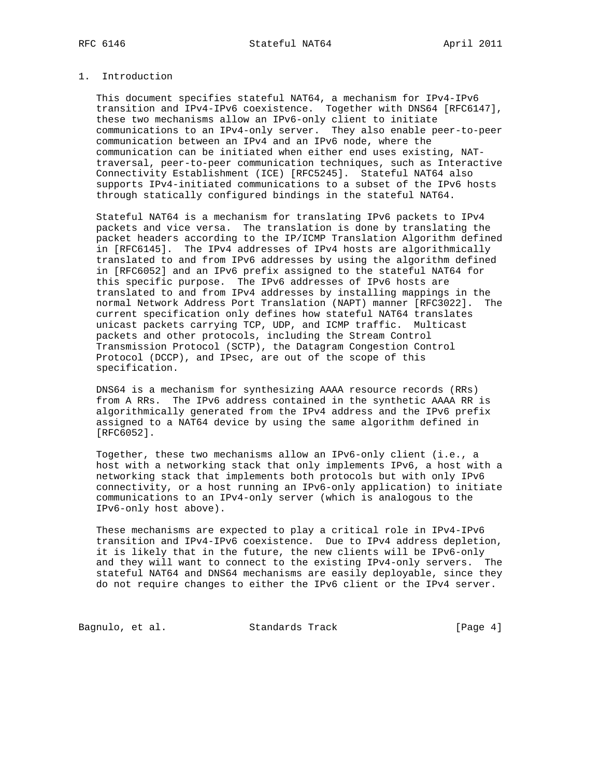# 1. Introduction

 This document specifies stateful NAT64, a mechanism for IPv4-IPv6 transition and IPv4-IPv6 coexistence. Together with DNS64 [RFC6147], these two mechanisms allow an IPv6-only client to initiate communications to an IPv4-only server. They also enable peer-to-peer communication between an IPv4 and an IPv6 node, where the communication can be initiated when either end uses existing, NAT traversal, peer-to-peer communication techniques, such as Interactive Connectivity Establishment (ICE) [RFC5245]. Stateful NAT64 also supports IPv4-initiated communications to a subset of the IPv6 hosts through statically configured bindings in the stateful NAT64.

 Stateful NAT64 is a mechanism for translating IPv6 packets to IPv4 packets and vice versa. The translation is done by translating the packet headers according to the IP/ICMP Translation Algorithm defined in [RFC6145]. The IPv4 addresses of IPv4 hosts are algorithmically translated to and from IPv6 addresses by using the algorithm defined in [RFC6052] and an IPv6 prefix assigned to the stateful NAT64 for this specific purpose. The IPv6 addresses of IPv6 hosts are translated to and from IPv4 addresses by installing mappings in the normal Network Address Port Translation (NAPT) manner [RFC3022]. The current specification only defines how stateful NAT64 translates unicast packets carrying TCP, UDP, and ICMP traffic. Multicast packets and other protocols, including the Stream Control Transmission Protocol (SCTP), the Datagram Congestion Control Protocol (DCCP), and IPsec, are out of the scope of this specification.

 DNS64 is a mechanism for synthesizing AAAA resource records (RRs) from A RRs. The IPv6 address contained in the synthetic AAAA RR is algorithmically generated from the IPv4 address and the IPv6 prefix assigned to a NAT64 device by using the same algorithm defined in [RFC6052].

 Together, these two mechanisms allow an IPv6-only client (i.e., a host with a networking stack that only implements IPv6, a host with a networking stack that implements both protocols but with only IPv6 connectivity, or a host running an IPv6-only application) to initiate communications to an IPv4-only server (which is analogous to the IPv6-only host above).

 These mechanisms are expected to play a critical role in IPv4-IPv6 transition and IPv4-IPv6 coexistence. Due to IPv4 address depletion, it is likely that in the future, the new clients will be IPv6-only and they will want to connect to the existing IPv4-only servers. The stateful NAT64 and DNS64 mechanisms are easily deployable, since they do not require changes to either the IPv6 client or the IPv4 server.

Bagnulo, et al. Standards Track [Page 4]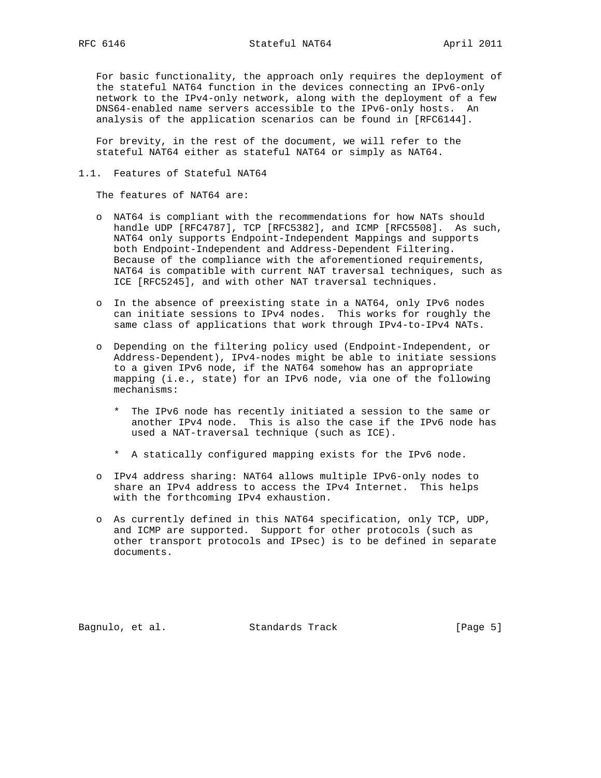For basic functionality, the approach only requires the deployment of the stateful NAT64 function in the devices connecting an IPv6-only network to the IPv4-only network, along with the deployment of a few DNS64-enabled name servers accessible to the IPv6-only hosts. An analysis of the application scenarios can be found in [RFC6144].

 For brevity, in the rest of the document, we will refer to the stateful NAT64 either as stateful NAT64 or simply as NAT64.

### 1.1. Features of Stateful NAT64

The features of NAT64 are:

- o NAT64 is compliant with the recommendations for how NATs should handle UDP [RFC4787], TCP [RFC5382], and ICMP [RFC5508]. As such, NAT64 only supports Endpoint-Independent Mappings and supports both Endpoint-Independent and Address-Dependent Filtering. Because of the compliance with the aforementioned requirements, NAT64 is compatible with current NAT traversal techniques, such as ICE [RFC5245], and with other NAT traversal techniques.
- o In the absence of preexisting state in a NAT64, only IPv6 nodes can initiate sessions to IPv4 nodes. This works for roughly the same class of applications that work through IPv4-to-IPv4 NATs.
- o Depending on the filtering policy used (Endpoint-Independent, or Address-Dependent), IPv4-nodes might be able to initiate sessions to a given IPv6 node, if the NAT64 somehow has an appropriate mapping (i.e., state) for an IPv6 node, via one of the following mechanisms:
	- \* The IPv6 node has recently initiated a session to the same or another IPv4 node. This is also the case if the IPv6 node has used a NAT-traversal technique (such as ICE).
	- \* A statically configured mapping exists for the IPv6 node.
- o IPv4 address sharing: NAT64 allows multiple IPv6-only nodes to share an IPv4 address to access the IPv4 Internet. This helps with the forthcoming IPv4 exhaustion.
- o As currently defined in this NAT64 specification, only TCP, UDP, and ICMP are supported. Support for other protocols (such as other transport protocols and IPsec) is to be defined in separate documents.

Bagnulo, et al. Standards Track [Page 5]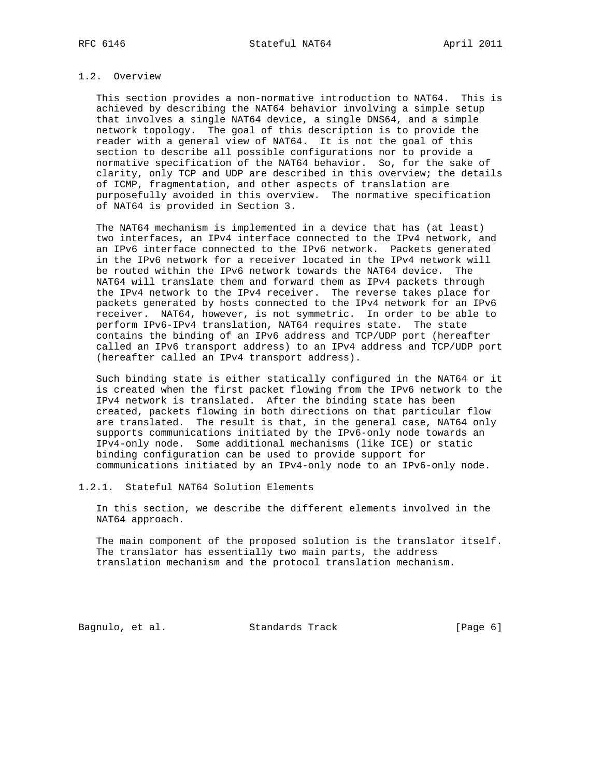# 1.2. Overview

 This section provides a non-normative introduction to NAT64. This is achieved by describing the NAT64 behavior involving a simple setup that involves a single NAT64 device, a single DNS64, and a simple network topology. The goal of this description is to provide the reader with a general view of NAT64. It is not the goal of this section to describe all possible configurations nor to provide a normative specification of the NAT64 behavior. So, for the sake of clarity, only TCP and UDP are described in this overview; the details of ICMP, fragmentation, and other aspects of translation are purposefully avoided in this overview. The normative specification of NAT64 is provided in Section 3.

 The NAT64 mechanism is implemented in a device that has (at least) two interfaces, an IPv4 interface connected to the IPv4 network, and an IPv6 interface connected to the IPv6 network. Packets generated in the IPv6 network for a receiver located in the IPv4 network will be routed within the IPv6 network towards the NAT64 device. The NAT64 will translate them and forward them as IPv4 packets through the IPv4 network to the IPv4 receiver. The reverse takes place for packets generated by hosts connected to the IPv4 network for an IPv6 receiver. NAT64, however, is not symmetric. In order to be able to perform IPv6-IPv4 translation, NAT64 requires state. The state contains the binding of an IPv6 address and TCP/UDP port (hereafter called an IPv6 transport address) to an IPv4 address and TCP/UDP port (hereafter called an IPv4 transport address).

 Such binding state is either statically configured in the NAT64 or it is created when the first packet flowing from the IPv6 network to the IPv4 network is translated. After the binding state has been created, packets flowing in both directions on that particular flow are translated. The result is that, in the general case, NAT64 only supports communications initiated by the IPv6-only node towards an IPv4-only node. Some additional mechanisms (like ICE) or static binding configuration can be used to provide support for communications initiated by an IPv4-only node to an IPv6-only node.

1.2.1. Stateful NAT64 Solution Elements

 In this section, we describe the different elements involved in the NAT64 approach.

 The main component of the proposed solution is the translator itself. The translator has essentially two main parts, the address translation mechanism and the protocol translation mechanism.

Bagnulo, et al. Standards Track [Page 6]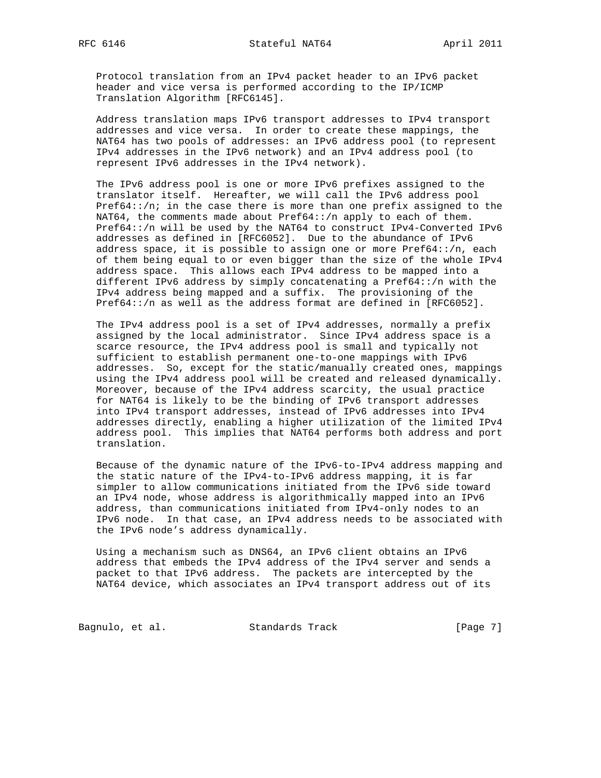Protocol translation from an IPv4 packet header to an IPv6 packet header and vice versa is performed according to the IP/ICMP Translation Algorithm [RFC6145].

 Address translation maps IPv6 transport addresses to IPv4 transport addresses and vice versa. In order to create these mappings, the NAT64 has two pools of addresses: an IPv6 address pool (to represent IPv4 addresses in the IPv6 network) and an IPv4 address pool (to represent IPv6 addresses in the IPv4 network).

 The IPv6 address pool is one or more IPv6 prefixes assigned to the translator itself. Hereafter, we will call the IPv6 address pool Pref64::/ $n$ ; in the case there is more than one prefix assigned to the NAT64, the comments made about Pref64::/n apply to each of them. Pref64::/n will be used by the NAT64 to construct IPv4-Converted IPv6 addresses as defined in [RFC6052]. Due to the abundance of IPv6 address space, it is possible to assign one or more Pref64::/n, each of them being equal to or even bigger than the size of the whole IPv4 address space. This allows each IPv4 address to be mapped into a different IPv6 address by simply concatenating a Pref64::/n with the IPv4 address being mapped and a suffix. The provisioning of the Pref64::/n as well as the address format are defined in [RFC6052].

 The IPv4 address pool is a set of IPv4 addresses, normally a prefix assigned by the local administrator. Since IPv4 address space is a scarce resource, the IPv4 address pool is small and typically not sufficient to establish permanent one-to-one mappings with IPv6 addresses. So, except for the static/manually created ones, mappings using the IPv4 address pool will be created and released dynamically. Moreover, because of the IPv4 address scarcity, the usual practice for NAT64 is likely to be the binding of IPv6 transport addresses into IPv4 transport addresses, instead of IPv6 addresses into IPv4 addresses directly, enabling a higher utilization of the limited IPv4 address pool. This implies that NAT64 performs both address and port translation.

 Because of the dynamic nature of the IPv6-to-IPv4 address mapping and the static nature of the IPv4-to-IPv6 address mapping, it is far simpler to allow communications initiated from the IPv6 side toward an IPv4 node, whose address is algorithmically mapped into an IPv6 address, than communications initiated from IPv4-only nodes to an IPv6 node. In that case, an IPv4 address needs to be associated with the IPv6 node's address dynamically.

 Using a mechanism such as DNS64, an IPv6 client obtains an IPv6 address that embeds the IPv4 address of the IPv4 server and sends a packet to that IPv6 address. The packets are intercepted by the NAT64 device, which associates an IPv4 transport address out of its

Bagnulo, et al. Standards Track [Page 7]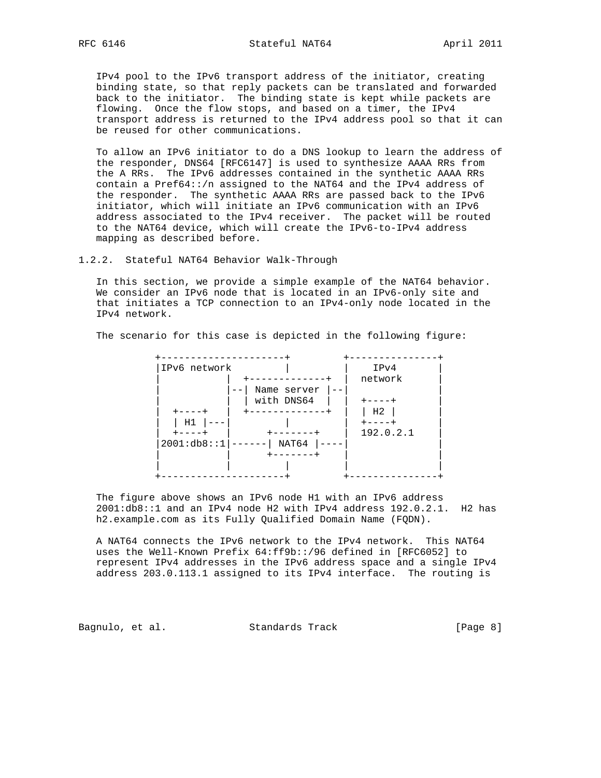IPv4 pool to the IPv6 transport address of the initiator, creating binding state, so that reply packets can be translated and forwarded back to the initiator. The binding state is kept while packets are flowing. Once the flow stops, and based on a timer, the IPv4 transport address is returned to the IPv4 address pool so that it can be reused for other communications.

 To allow an IPv6 initiator to do a DNS lookup to learn the address of the responder, DNS64 [RFC6147] is used to synthesize AAAA RRs from the A RRs. The IPv6 addresses contained in the synthetic AAAA RRs contain a Pref64::/n assigned to the NAT64 and the IPv4 address of the responder. The synthetic AAAA RRs are passed back to the IPv6 initiator, which will initiate an IPv6 communication with an IPv6 address associated to the IPv4 receiver. The packet will be routed to the NAT64 device, which will create the IPv6-to-IPv4 address mapping as described before.

1.2.2. Stateful NAT64 Behavior Walk-Through

 In this section, we provide a simple example of the NAT64 behavior. We consider an IPv6 node that is located in an IPv6-only site and that initiates a TCP connection to an IPv4-only node located in the IPv4 network.

The scenario for this case is depicted in the following figure:

| IPv6 network |                         | IPv4           |
|--------------|-------------------------|----------------|
|              |                         | network        |
|              | Name server<br>——       |                |
|              | with DNS64              | ----+          |
|              | . _ _ _ _ _ _ _ _ _ _ _ | H <sub>2</sub> |
| Η1           |                         | $+ - - - - +$  |
| ----+        | -----                   | 192.0.2.1      |
| 2001:db8::1  | NAT64                   |                |
|              | .                       |                |
|              |                         |                |
|              |                         |                |

 The figure above shows an IPv6 node H1 with an IPv6 address 2001:db8::1 and an IPv4 node H2 with IPv4 address 192.0.2.1. H2 has h2.example.com as its Fully Qualified Domain Name (FQDN).

 A NAT64 connects the IPv6 network to the IPv4 network. This NAT64 uses the Well-Known Prefix 64:ff9b::/96 defined in [RFC6052] to represent IPv4 addresses in the IPv6 address space and a single IPv4 address 203.0.113.1 assigned to its IPv4 interface. The routing is

Bagnulo, et al. Standards Track [Page 8]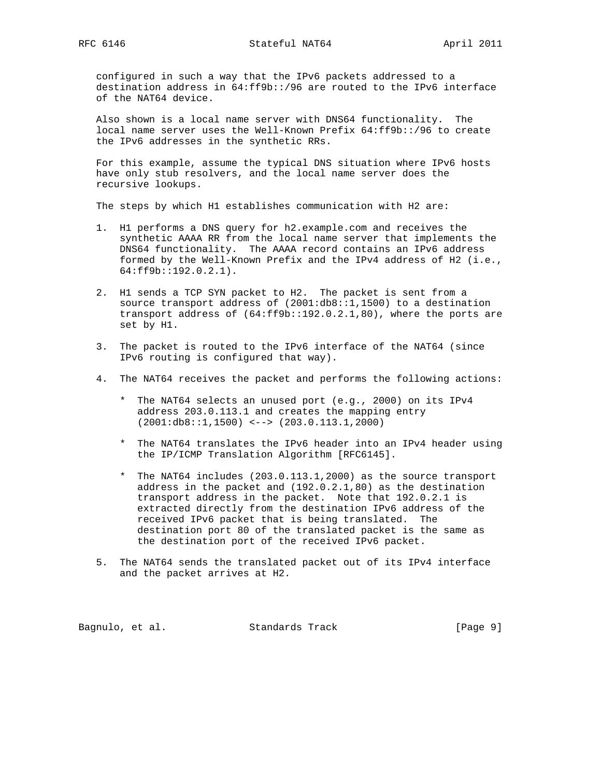configured in such a way that the IPv6 packets addressed to a destination address in 64:ff9b::/96 are routed to the IPv6 interface of the NAT64 device.

 Also shown is a local name server with DNS64 functionality. The local name server uses the Well-Known Prefix 64:ff9b::/96 to create the IPv6 addresses in the synthetic RRs.

 For this example, assume the typical DNS situation where IPv6 hosts have only stub resolvers, and the local name server does the recursive lookups.

The steps by which H1 establishes communication with H2 are:

- 1. H1 performs a DNS query for h2.example.com and receives the synthetic AAAA RR from the local name server that implements the DNS64 functionality. The AAAA record contains an IPv6 address formed by the Well-Known Prefix and the IPv4 address of H2 (i.e., 64:ff9b::192.0.2.1).
- 2. H1 sends a TCP SYN packet to H2. The packet is sent from a source transport address of (2001:db8::1,1500) to a destination transport address of (64:ff9b::192.0.2.1,80), where the ports are set by H1.
- 3. The packet is routed to the IPv6 interface of the NAT64 (since IPv6 routing is configured that way).
- 4. The NAT64 receives the packet and performs the following actions:
	- \* The NAT64 selects an unused port (e.g., 2000) on its IPv4 address 203.0.113.1 and creates the mapping entry (2001:db8::1,1500) <--> (203.0.113.1,2000)
	- \* The NAT64 translates the IPv6 header into an IPv4 header using the IP/ICMP Translation Algorithm [RFC6145].
	- \* The NAT64 includes (203.0.113.1,2000) as the source transport address in the packet and (192.0.2.1,80) as the destination transport address in the packet. Note that 192.0.2.1 is extracted directly from the destination IPv6 address of the received IPv6 packet that is being translated. The destination port 80 of the translated packet is the same as the destination port of the received IPv6 packet.
- 5. The NAT64 sends the translated packet out of its IPv4 interface and the packet arrives at H2.

Bagnulo, et al. Standards Track [Page 9]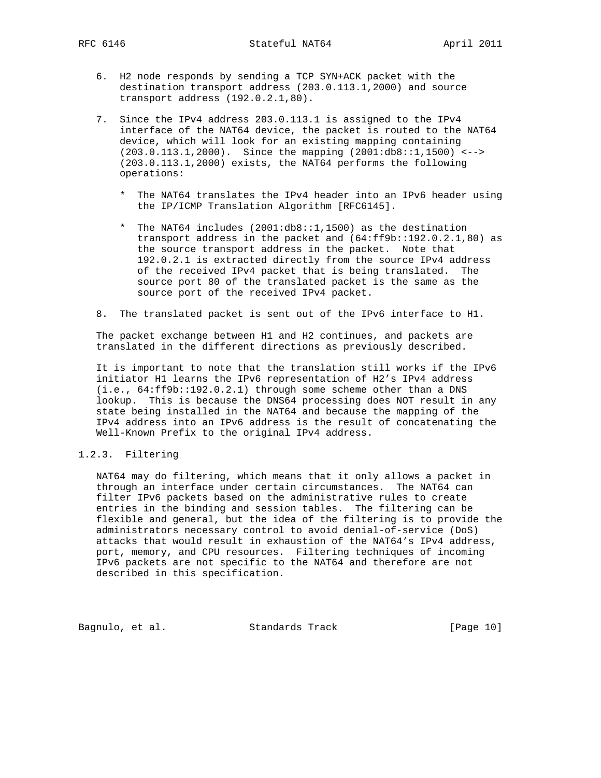- 6. H2 node responds by sending a TCP SYN+ACK packet with the destination transport address (203.0.113.1,2000) and source transport address (192.0.2.1,80).
- 7. Since the IPv4 address 203.0.113.1 is assigned to the IPv4 interface of the NAT64 device, the packet is routed to the NAT64 device, which will look for an existing mapping containing (203.0.113.1,2000). Since the mapping (2001:db8::1,1500) <--> (203.0.113.1,2000) exists, the NAT64 performs the following operations:
	- \* The NAT64 translates the IPv4 header into an IPv6 header using the IP/ICMP Translation Algorithm [RFC6145].
	- \* The NAT64 includes (2001:db8::1,1500) as the destination transport address in the packet and (64:ff9b::192.0.2.1,80) as the source transport address in the packet. Note that 192.0.2.1 is extracted directly from the source IPv4 address of the received IPv4 packet that is being translated. The source port 80 of the translated packet is the same as the source port of the received IPv4 packet.
- 8. The translated packet is sent out of the IPv6 interface to H1.

 The packet exchange between H1 and H2 continues, and packets are translated in the different directions as previously described.

 It is important to note that the translation still works if the IPv6 initiator H1 learns the IPv6 representation of H2's IPv4 address (i.e., 64:ff9b::192.0.2.1) through some scheme other than a DNS lookup. This is because the DNS64 processing does NOT result in any state being installed in the NAT64 and because the mapping of the IPv4 address into an IPv6 address is the result of concatenating the Well-Known Prefix to the original IPv4 address.

## 1.2.3. Filtering

 NAT64 may do filtering, which means that it only allows a packet in through an interface under certain circumstances. The NAT64 can filter IPv6 packets based on the administrative rules to create entries in the binding and session tables. The filtering can be flexible and general, but the idea of the filtering is to provide the administrators necessary control to avoid denial-of-service (DoS) attacks that would result in exhaustion of the NAT64's IPv4 address, port, memory, and CPU resources. Filtering techniques of incoming IPv6 packets are not specific to the NAT64 and therefore are not described in this specification.

Bagnulo, et al. Standards Track [Page 10]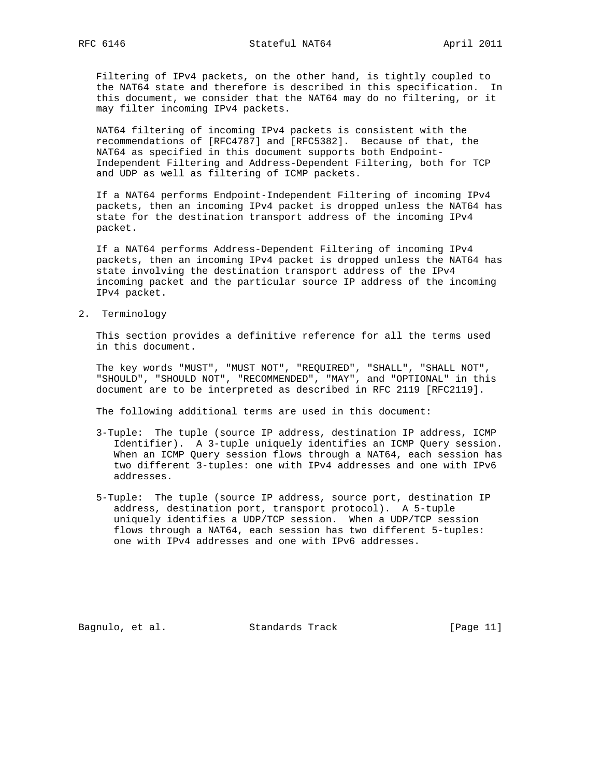Filtering of IPv4 packets, on the other hand, is tightly coupled to the NAT64 state and therefore is described in this specification. In this document, we consider that the NAT64 may do no filtering, or it may filter incoming IPv4 packets.

 NAT64 filtering of incoming IPv4 packets is consistent with the recommendations of [RFC4787] and [RFC5382]. Because of that, the NAT64 as specified in this document supports both Endpoint- Independent Filtering and Address-Dependent Filtering, both for TCP and UDP as well as filtering of ICMP packets.

 If a NAT64 performs Endpoint-Independent Filtering of incoming IPv4 packets, then an incoming IPv4 packet is dropped unless the NAT64 has state for the destination transport address of the incoming IPv4 packet.

 If a NAT64 performs Address-Dependent Filtering of incoming IPv4 packets, then an incoming IPv4 packet is dropped unless the NAT64 has state involving the destination transport address of the IPv4 incoming packet and the particular source IP address of the incoming IPv4 packet.

2. Terminology

 This section provides a definitive reference for all the terms used in this document.

 The key words "MUST", "MUST NOT", "REQUIRED", "SHALL", "SHALL NOT", "SHOULD", "SHOULD NOT", "RECOMMENDED", "MAY", and "OPTIONAL" in this document are to be interpreted as described in RFC 2119 [RFC2119].

The following additional terms are used in this document:

- 3-Tuple: The tuple (source IP address, destination IP address, ICMP Identifier). A 3-tuple uniquely identifies an ICMP Query session. When an ICMP Query session flows through a NAT64, each session has two different 3-tuples: one with IPv4 addresses and one with IPv6 addresses.
- 5-Tuple: The tuple (source IP address, source port, destination IP address, destination port, transport protocol). A 5-tuple uniquely identifies a UDP/TCP session. When a UDP/TCP session flows through a NAT64, each session has two different 5-tuples: one with IPv4 addresses and one with IPv6 addresses.

Bagnulo, et al. Standards Track [Page 11]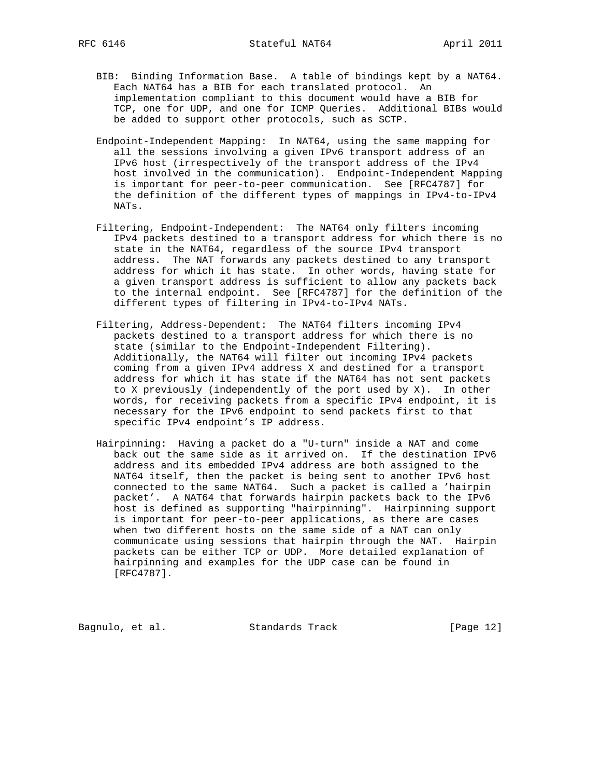- BIB: Binding Information Base. A table of bindings kept by a NAT64. Each NAT64 has a BIB for each translated protocol. An implementation compliant to this document would have a BIB for TCP, one for UDP, and one for ICMP Queries. Additional BIBs would be added to support other protocols, such as SCTP.
- Endpoint-Independent Mapping: In NAT64, using the same mapping for all the sessions involving a given IPv6 transport address of an IPv6 host (irrespectively of the transport address of the IPv4 host involved in the communication). Endpoint-Independent Mapping is important for peer-to-peer communication. See [RFC4787] for the definition of the different types of mappings in IPv4-to-IPv4 NATs.
- Filtering, Endpoint-Independent: The NAT64 only filters incoming IPv4 packets destined to a transport address for which there is no state in the NAT64, regardless of the source IPv4 transport address. The NAT forwards any packets destined to any transport address for which it has state. In other words, having state for a given transport address is sufficient to allow any packets back to the internal endpoint. See [RFC4787] for the definition of the different types of filtering in IPv4-to-IPv4 NATs.
- Filtering, Address-Dependent: The NAT64 filters incoming IPv4 packets destined to a transport address for which there is no state (similar to the Endpoint-Independent Filtering). Additionally, the NAT64 will filter out incoming IPv4 packets coming from a given IPv4 address X and destined for a transport address for which it has state if the NAT64 has not sent packets to X previously (independently of the port used by X). In other words, for receiving packets from a specific IPv4 endpoint, it is necessary for the IPv6 endpoint to send packets first to that specific IPv4 endpoint's IP address.
- Hairpinning: Having a packet do a "U-turn" inside a NAT and come back out the same side as it arrived on. If the destination IPv6 address and its embedded IPv4 address are both assigned to the NAT64 itself, then the packet is being sent to another IPv6 host connected to the same NAT64. Such a packet is called a 'hairpin packet'. A NAT64 that forwards hairpin packets back to the IPv6 host is defined as supporting "hairpinning". Hairpinning support is important for peer-to-peer applications, as there are cases when two different hosts on the same side of a NAT can only communicate using sessions that hairpin through the NAT. Hairpin packets can be either TCP or UDP. More detailed explanation of hairpinning and examples for the UDP case can be found in [RFC4787].

Bagnulo, et al. Standards Track [Page 12]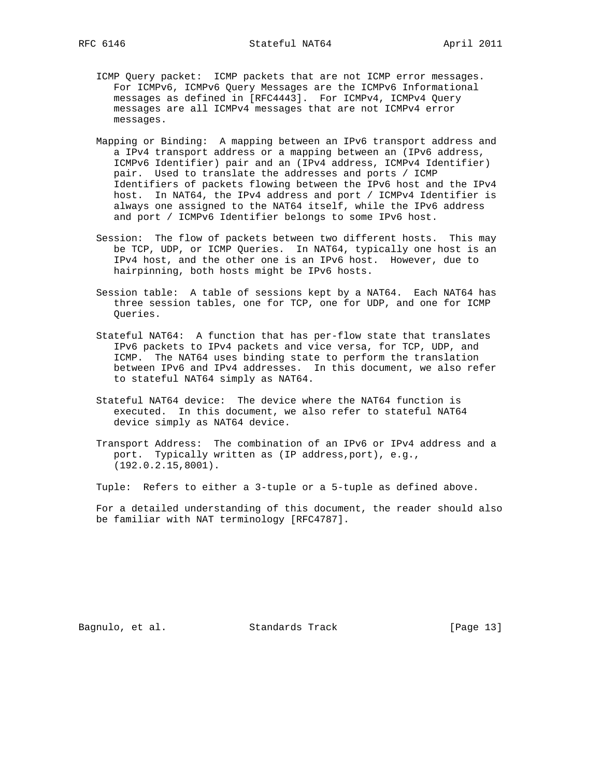- ICMP Query packet: ICMP packets that are not ICMP error messages. For ICMPv6, ICMPv6 Query Messages are the ICMPv6 Informational messages as defined in [RFC4443]. For ICMPv4, ICMPv4 Query messages are all ICMPv4 messages that are not ICMPv4 error messages.
- Mapping or Binding: A mapping between an IPv6 transport address and a IPv4 transport address or a mapping between an (IPv6 address, ICMPv6 Identifier) pair and an (IPv4 address, ICMPv4 Identifier) pair. Used to translate the addresses and ports / ICMP Identifiers of packets flowing between the IPv6 host and the IPv4 host. In NAT64, the IPv4 address and port / ICMPv4 Identifier is always one assigned to the NAT64 itself, while the IPv6 address and port / ICMPv6 Identifier belongs to some IPv6 host.
- Session: The flow of packets between two different hosts. This may be TCP, UDP, or ICMP Queries. In NAT64, typically one host is an IPv4 host, and the other one is an IPv6 host. However, due to hairpinning, both hosts might be IPv6 hosts.
- Session table: A table of sessions kept by a NAT64. Each NAT64 has three session tables, one for TCP, one for UDP, and one for ICMP Queries.
- Stateful NAT64: A function that has per-flow state that translates IPv6 packets to IPv4 packets and vice versa, for TCP, UDP, and ICMP. The NAT64 uses binding state to perform the translation between IPv6 and IPv4 addresses. In this document, we also refer to stateful NAT64 simply as NAT64.
- Stateful NAT64 device: The device where the NAT64 function is executed. In this document, we also refer to stateful NAT64 device simply as NAT64 device.
- Transport Address: The combination of an IPv6 or IPv4 address and a port. Typically written as (IP address,port), e.g., (192.0.2.15,8001).

Tuple: Refers to either a 3-tuple or a 5-tuple as defined above.

 For a detailed understanding of this document, the reader should also be familiar with NAT terminology [RFC4787].

Bagnulo, et al. Standards Track [Page 13]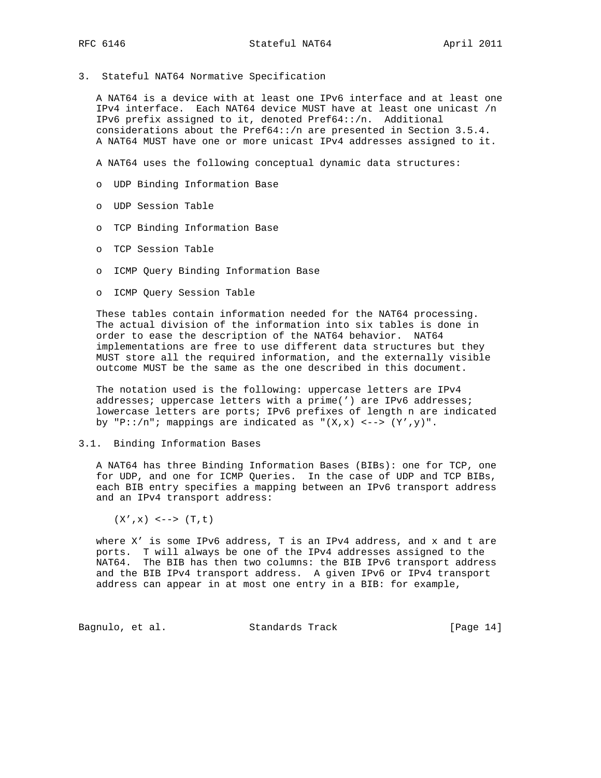3. Stateful NAT64 Normative Specification

 A NAT64 is a device with at least one IPv6 interface and at least one IPv4 interface. Each NAT64 device MUST have at least one unicast /n IPv6 prefix assigned to it, denoted Pref64::/n. Additional considerations about the Pref64::/n are presented in Section 3.5.4. A NAT64 MUST have one or more unicast IPv4 addresses assigned to it.

A NAT64 uses the following conceptual dynamic data structures:

- o UDP Binding Information Base
- o UDP Session Table
- o TCP Binding Information Base
- o TCP Session Table
- o ICMP Query Binding Information Base
- o ICMP Query Session Table

 These tables contain information needed for the NAT64 processing. The actual division of the information into six tables is done in order to ease the description of the NAT64 behavior. NAT64 implementations are free to use different data structures but they MUST store all the required information, and the externally visible outcome MUST be the same as the one described in this document.

 The notation used is the following: uppercase letters are IPv4 addresses; uppercase letters with a prime(') are IPv6 addresses; lowercase letters are ports; IPv6 prefixes of length n are indicated by "P::/n"; mappings are indicated as " $(X, x)$  <-->  $(Y', y)$ ".

#### 3.1. Binding Information Bases

 A NAT64 has three Binding Information Bases (BIBs): one for TCP, one for UDP, and one for ICMP Queries. In the case of UDP and TCP BIBs, each BIB entry specifies a mapping between an IPv6 transport address and an IPv4 transport address:

 $(X', x) \leq - \rightarrow (T, t)$ 

 where X' is some IPv6 address, T is an IPv4 address, and x and t are ports. T will always be one of the IPv4 addresses assigned to the NAT64. The BIB has then two columns: the BIB IPv6 transport address and the BIB IPv4 transport address. A given IPv6 or IPv4 transport address can appear in at most one entry in a BIB: for example,

Bagnulo, et al. Standards Track [Page 14]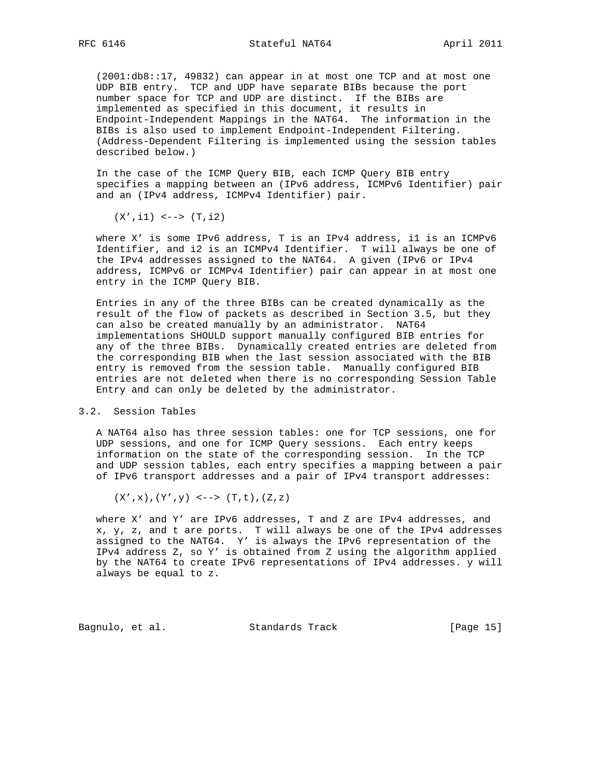(2001:db8::17, 49832) can appear in at most one TCP and at most one UDP BIB entry. TCP and UDP have separate BIBs because the port number space for TCP and UDP are distinct. If the BIBs are implemented as specified in this document, it results in Endpoint-Independent Mappings in the NAT64. The information in the BIBs is also used to implement Endpoint-Independent Filtering. (Address-Dependent Filtering is implemented using the session tables described below.)

 In the case of the ICMP Query BIB, each ICMP Query BIB entry specifies a mapping between an (IPv6 address, ICMPv6 Identifier) pair and an (IPv4 address, ICMPv4 Identifier) pair.

 $(X', i1)$  <-->  $(T, i2)$ 

 where X' is some IPv6 address, T is an IPv4 address, i1 is an ICMPv6 Identifier, and i2 is an ICMPv4 Identifier. T will always be one of the IPv4 addresses assigned to the NAT64. A given (IPv6 or IPv4 address, ICMPv6 or ICMPv4 Identifier) pair can appear in at most one entry in the ICMP Query BIB.

 Entries in any of the three BIBs can be created dynamically as the result of the flow of packets as described in Section 3.5, but they can also be created manually by an administrator. NAT64 implementations SHOULD support manually configured BIB entries for any of the three BIBs. Dynamically created entries are deleted from the corresponding BIB when the last session associated with the BIB entry is removed from the session table. Manually configured BIB entries are not deleted when there is no corresponding Session Table Entry and can only be deleted by the administrator.

### 3.2. Session Tables

 A NAT64 also has three session tables: one for TCP sessions, one for UDP sessions, and one for ICMP Query sessions. Each entry keeps information on the state of the corresponding session. In the TCP and UDP session tables, each entry specifies a mapping between a pair of IPv6 transport addresses and a pair of IPv4 transport addresses:

 $(X', x), (Y', y)$  <-->  $(T, t), (Z, z)$ 

 where X' and Y' are IPv6 addresses, T and Z are IPv4 addresses, and x, y, z, and t are ports. T will always be one of the IPv4 addresses assigned to the NAT64. Y' is always the IPv6 representation of the IPv4 address Z, so Y' is obtained from Z using the algorithm applied by the NAT64 to create IPv6 representations of IPv4 addresses. y will always be equal to z.

Bagnulo, et al. Standards Track [Page 15]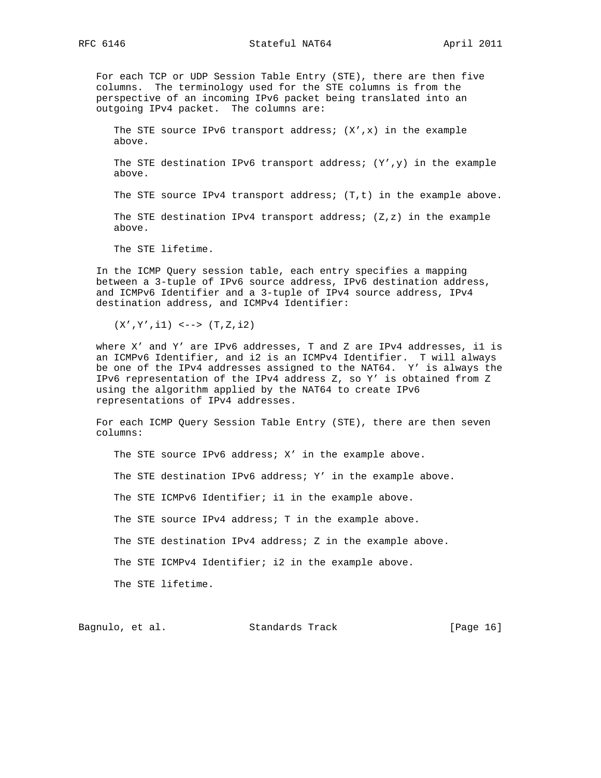RFC 6146 **Stateful NAT64** April 2011

 For each TCP or UDP Session Table Entry (STE), there are then five columns. The terminology used for the STE columns is from the perspective of an incoming IPv6 packet being translated into an outgoing IPv4 packet. The columns are:

The STE source IPv6 transport address;  $(X', x)$  in the example above.

The STE destination IPv6 transport address;  $(Y', y)$  in the example above.

The STE source IPv4 transport address; (T,t) in the example above.

 The STE destination IPv4 transport address; (Z,z) in the example above.

The STE lifetime.

 In the ICMP Query session table, each entry specifies a mapping between a 3-tuple of IPv6 source address, IPv6 destination address, and ICMPv6 Identifier and a 3-tuple of IPv4 source address, IPv4 destination address, and ICMPv4 Identifier:

(X',Y',i1) <--> (T,Z,i2)

 where X' and Y' are IPv6 addresses, T and Z are IPv4 addresses, i1 is an ICMPv6 Identifier, and i2 is an ICMPv4 Identifier. T will always be one of the IPv4 addresses assigned to the NAT64. Y' is always the IPv6 representation of the IPv4 address Z, so Y' is obtained from Z using the algorithm applied by the NAT64 to create IPv6 representations of IPv4 addresses.

 For each ICMP Query Session Table Entry (STE), there are then seven columns:

The STE source IPv6 address; X' in the example above.

The STE destination IPv6 address; Y' in the example above.

The STE ICMPv6 Identifier; il in the example above.

The STE source IPv4 address; T in the example above.

The STE destination IPv4 address; Z in the example above.

The STE ICMPv4 Identifier; i2 in the example above.

The STE lifetime.

Bagnulo, et al. Standards Track [Page 16]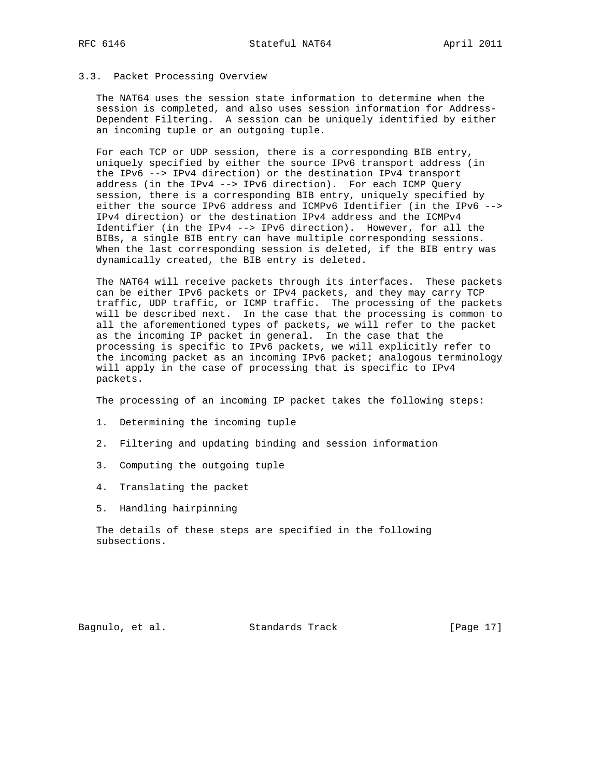### 3.3. Packet Processing Overview

 The NAT64 uses the session state information to determine when the session is completed, and also uses session information for Address- Dependent Filtering. A session can be uniquely identified by either an incoming tuple or an outgoing tuple.

 For each TCP or UDP session, there is a corresponding BIB entry, uniquely specified by either the source IPv6 transport address (in the IPv6 --> IPv4 direction) or the destination IPv4 transport address (in the IPv4 --> IPv6 direction). For each ICMP Query session, there is a corresponding BIB entry, uniquely specified by either the source IPv6 address and ICMPv6 Identifier (in the IPv6 --> IPv4 direction) or the destination IPv4 address and the ICMPv4 Identifier (in the IPv4 --> IPv6 direction). However, for all the BIBs, a single BIB entry can have multiple corresponding sessions. When the last corresponding session is deleted, if the BIB entry was dynamically created, the BIB entry is deleted.

 The NAT64 will receive packets through its interfaces. These packets can be either IPv6 packets or IPv4 packets, and they may carry TCP traffic, UDP traffic, or ICMP traffic. The processing of the packets will be described next. In the case that the processing is common to all the aforementioned types of packets, we will refer to the packet as the incoming IP packet in general. In the case that the processing is specific to IPv6 packets, we will explicitly refer to the incoming packet as an incoming IPv6 packet; analogous terminology will apply in the case of processing that is specific to IPv4 packets.

The processing of an incoming IP packet takes the following steps:

- 1. Determining the incoming tuple
- 2. Filtering and updating binding and session information
- 3. Computing the outgoing tuple
- 4. Translating the packet
- 5. Handling hairpinning

 The details of these steps are specified in the following subsections.

Bagnulo, et al. Standards Track [Page 17]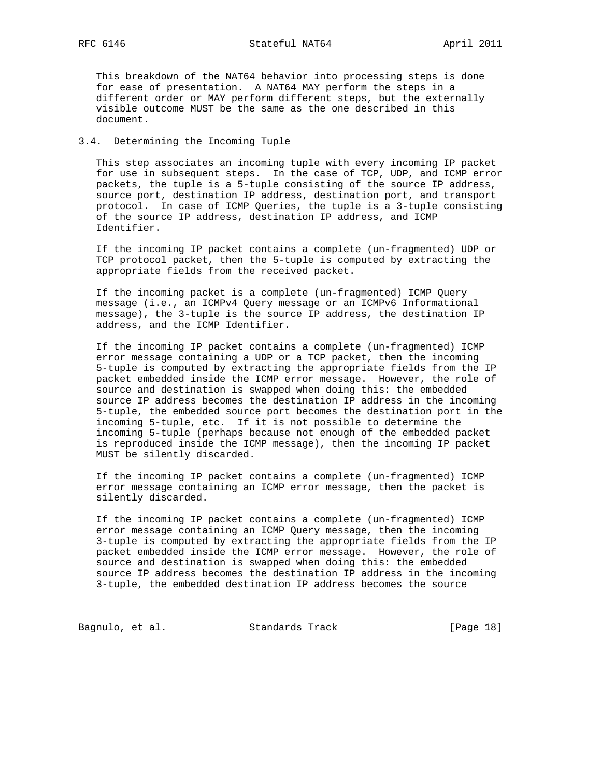This breakdown of the NAT64 behavior into processing steps is done for ease of presentation. A NAT64 MAY perform the steps in a different order or MAY perform different steps, but the externally visible outcome MUST be the same as the one described in this document.

## 3.4. Determining the Incoming Tuple

 This step associates an incoming tuple with every incoming IP packet for use in subsequent steps. In the case of TCP, UDP, and ICMP error packets, the tuple is a 5-tuple consisting of the source IP address, source port, destination IP address, destination port, and transport protocol. In case of ICMP Queries, the tuple is a 3-tuple consisting of the source IP address, destination IP address, and ICMP Identifier.

 If the incoming IP packet contains a complete (un-fragmented) UDP or TCP protocol packet, then the 5-tuple is computed by extracting the appropriate fields from the received packet.

 If the incoming packet is a complete (un-fragmented) ICMP Query message (i.e., an ICMPv4 Query message or an ICMPv6 Informational message), the 3-tuple is the source IP address, the destination IP address, and the ICMP Identifier.

 If the incoming IP packet contains a complete (un-fragmented) ICMP error message containing a UDP or a TCP packet, then the incoming 5-tuple is computed by extracting the appropriate fields from the IP packet embedded inside the ICMP error message. However, the role of source and destination is swapped when doing this: the embedded source IP address becomes the destination IP address in the incoming 5-tuple, the embedded source port becomes the destination port in the incoming 5-tuple, etc. If it is not possible to determine the incoming 5-tuple (perhaps because not enough of the embedded packet is reproduced inside the ICMP message), then the incoming IP packet MUST be silently discarded.

 If the incoming IP packet contains a complete (un-fragmented) ICMP error message containing an ICMP error message, then the packet is silently discarded.

 If the incoming IP packet contains a complete (un-fragmented) ICMP error message containing an ICMP Query message, then the incoming 3-tuple is computed by extracting the appropriate fields from the IP packet embedded inside the ICMP error message. However, the role of source and destination is swapped when doing this: the embedded source IP address becomes the destination IP address in the incoming 3-tuple, the embedded destination IP address becomes the source

Bagnulo, et al. Standards Track [Page 18]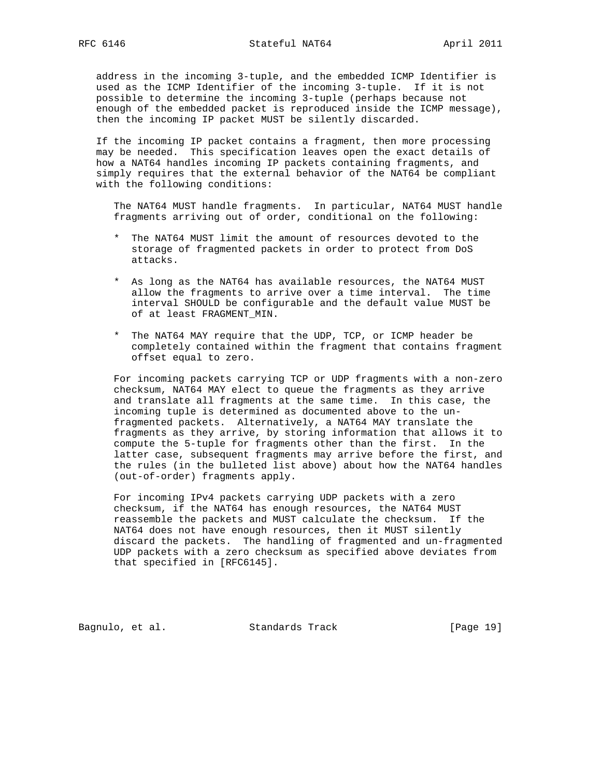address in the incoming 3-tuple, and the embedded ICMP Identifier is used as the ICMP Identifier of the incoming 3-tuple. If it is not possible to determine the incoming 3-tuple (perhaps because not enough of the embedded packet is reproduced inside the ICMP message), then the incoming IP packet MUST be silently discarded.

 If the incoming IP packet contains a fragment, then more processing may be needed. This specification leaves open the exact details of how a NAT64 handles incoming IP packets containing fragments, and simply requires that the external behavior of the NAT64 be compliant with the following conditions:

 The NAT64 MUST handle fragments. In particular, NAT64 MUST handle fragments arriving out of order, conditional on the following:

- \* The NAT64 MUST limit the amount of resources devoted to the storage of fragmented packets in order to protect from DoS attacks.
- \* As long as the NAT64 has available resources, the NAT64 MUST allow the fragments to arrive over a time interval. The time interval SHOULD be configurable and the default value MUST be of at least FRAGMENT\_MIN.
- \* The NAT64 MAY require that the UDP, TCP, or ICMP header be completely contained within the fragment that contains fragment offset equal to zero.

 For incoming packets carrying TCP or UDP fragments with a non-zero checksum, NAT64 MAY elect to queue the fragments as they arrive and translate all fragments at the same time. In this case, the incoming tuple is determined as documented above to the un fragmented packets. Alternatively, a NAT64 MAY translate the fragments as they arrive, by storing information that allows it to compute the 5-tuple for fragments other than the first. In the latter case, subsequent fragments may arrive before the first, and the rules (in the bulleted list above) about how the NAT64 handles (out-of-order) fragments apply.

 For incoming IPv4 packets carrying UDP packets with a zero checksum, if the NAT64 has enough resources, the NAT64 MUST reassemble the packets and MUST calculate the checksum. If the NAT64 does not have enough resources, then it MUST silently discard the packets. The handling of fragmented and un-fragmented UDP packets with a zero checksum as specified above deviates from that specified in [RFC6145].

Bagnulo, et al. Standards Track [Page 19]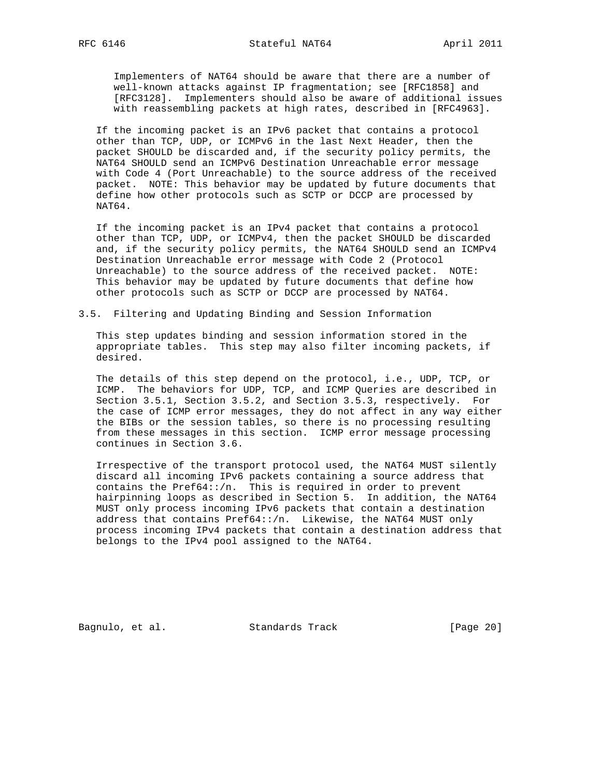Implementers of NAT64 should be aware that there are a number of well-known attacks against IP fragmentation; see [RFC1858] and [RFC3128]. Implementers should also be aware of additional issues with reassembling packets at high rates, described in [RFC4963].

 If the incoming packet is an IPv6 packet that contains a protocol other than TCP, UDP, or ICMPv6 in the last Next Header, then the packet SHOULD be discarded and, if the security policy permits, the NAT64 SHOULD send an ICMPv6 Destination Unreachable error message with Code 4 (Port Unreachable) to the source address of the received packet. NOTE: This behavior may be updated by future documents that define how other protocols such as SCTP or DCCP are processed by NAT64.

 If the incoming packet is an IPv4 packet that contains a protocol other than TCP, UDP, or ICMPv4, then the packet SHOULD be discarded and, if the security policy permits, the NAT64 SHOULD send an ICMPv4 Destination Unreachable error message with Code 2 (Protocol Unreachable) to the source address of the received packet. NOTE: This behavior may be updated by future documents that define how other protocols such as SCTP or DCCP are processed by NAT64.

3.5. Filtering and Updating Binding and Session Information

 This step updates binding and session information stored in the appropriate tables. This step may also filter incoming packets, if desired.

 The details of this step depend on the protocol, i.e., UDP, TCP, or ICMP. The behaviors for UDP, TCP, and ICMP Queries are described in Section 3.5.1, Section 3.5.2, and Section 3.5.3, respectively. For the case of ICMP error messages, they do not affect in any way either the BIBs or the session tables, so there is no processing resulting from these messages in this section. ICMP error message processing continues in Section 3.6.

 Irrespective of the transport protocol used, the NAT64 MUST silently discard all incoming IPv6 packets containing a source address that contains the Pref64::/n. This is required in order to prevent hairpinning loops as described in Section 5. In addition, the NAT64 MUST only process incoming IPv6 packets that contain a destination address that contains  $Pref64::/n$ . Likewise, the NAT64 MUST only process incoming IPv4 packets that contain a destination address that belongs to the IPv4 pool assigned to the NAT64.

Bagnulo, et al. Standards Track [Page 20]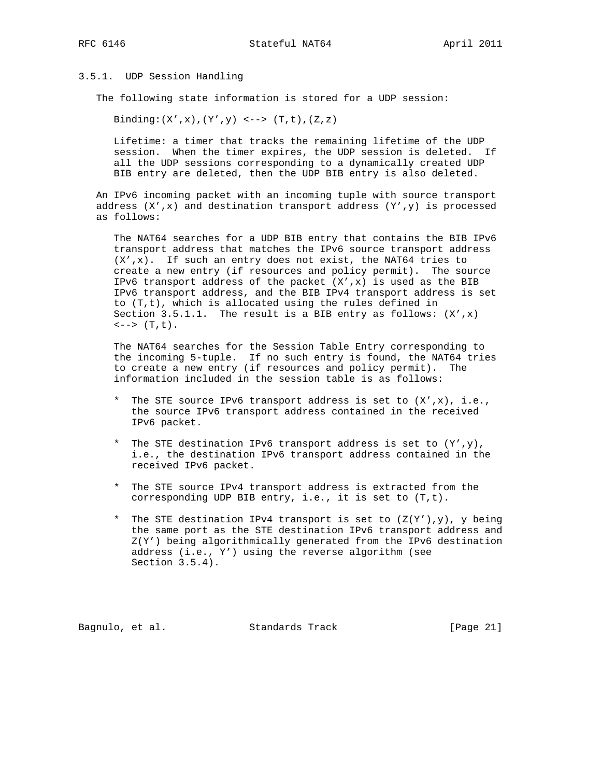### 3.5.1. UDP Session Handling

The following state information is stored for a UDP session:

Binding: $(X', x), (Y', y)$  <-->  $(T, t), (Z, z)$ 

 Lifetime: a timer that tracks the remaining lifetime of the UDP session. When the timer expires, the UDP session is deleted. If all the UDP sessions corresponding to a dynamically created UDP BIB entry are deleted, then the UDP BIB entry is also deleted.

 An IPv6 incoming packet with an incoming tuple with source transport address  $(X', x)$  and destination transport address  $(Y', y)$  is processed as follows:

 The NAT64 searches for a UDP BIB entry that contains the BIB IPv6 transport address that matches the IPv6 source transport address  $(X', x)$ . If such an entry does not exist, the NAT64 tries to create a new entry (if resources and policy permit). The source IPv6 transport address of the packet  $(X', x)$  is used as the BIB IPv6 transport address, and the BIB IPv4 transport address is set to (T,t), which is allocated using the rules defined in Section 3.5.1.1. The result is a BIB entry as follows:  $(X', x)$  $\leftarrow -\rangle$  (T,t).

 The NAT64 searches for the Session Table Entry corresponding to the incoming 5-tuple. If no such entry is found, the NAT64 tries to create a new entry (if resources and policy permit). The information included in the session table is as follows:

- \* The STE source IPv6 transport address is set to (X',x), i.e., the source IPv6 transport address contained in the received IPv6 packet.
- \* The STE destination IPv6 transport address is set to (Y',y), i.e., the destination IPv6 transport address contained in the received IPv6 packet.
- \* The STE source IPv4 transport address is extracted from the corresponding UDP BIB entry, i.e., it is set to (T,t).
- \* The STE destination IPv4 transport is set to  $(Z(Y'), y)$ , y being the same port as the STE destination IPv6 transport address and Z(Y') being algorithmically generated from the IPv6 destination address (i.e., Y') using the reverse algorithm (see Section 3.5.4).

Bagnulo, et al. Standards Track [Page 21]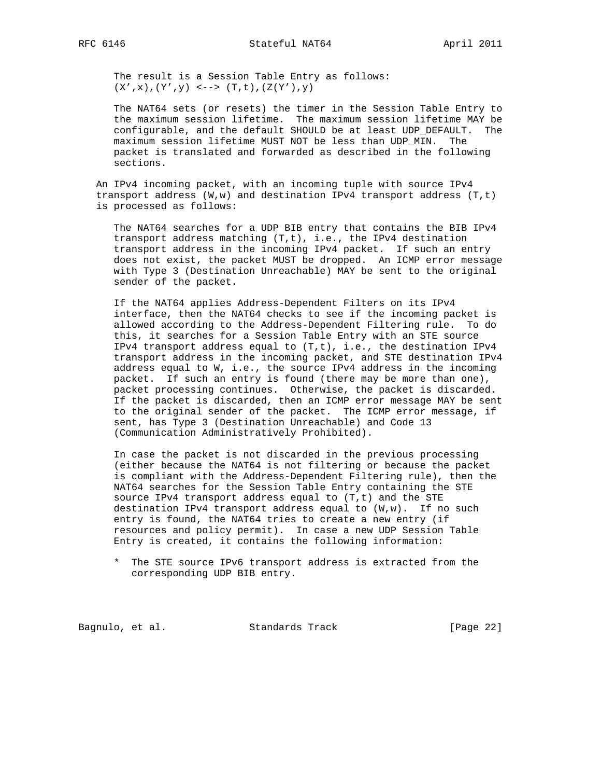The result is a Session Table Entry as follows:  $(X', x), (Y', y) \iff (T, t), (Z(Y'), y)$ 

 The NAT64 sets (or resets) the timer in the Session Table Entry to the maximum session lifetime. The maximum session lifetime MAY be configurable, and the default SHOULD be at least UDP\_DEFAULT. The maximum session lifetime MUST NOT be less than UDP\_MIN. The packet is translated and forwarded as described in the following sections.

 An IPv4 incoming packet, with an incoming tuple with source IPv4 transport address  $(W, w)$  and destination IPv4 transport address  $(T, t)$ is processed as follows:

 The NAT64 searches for a UDP BIB entry that contains the BIB IPv4 transport address matching (T,t), i.e., the IPv4 destination transport address in the incoming IPv4 packet. If such an entry does not exist, the packet MUST be dropped. An ICMP error message with Type 3 (Destination Unreachable) MAY be sent to the original sender of the packet.

 If the NAT64 applies Address-Dependent Filters on its IPv4 interface, then the NAT64 checks to see if the incoming packet is allowed according to the Address-Dependent Filtering rule. To do this, it searches for a Session Table Entry with an STE source IPv4 transport address equal to (T,t), i.e., the destination IPv4 transport address in the incoming packet, and STE destination IPv4 address equal to W, i.e., the source IPv4 address in the incoming packet. If such an entry is found (there may be more than one), packet processing continues. Otherwise, the packet is discarded. If the packet is discarded, then an ICMP error message MAY be sent to the original sender of the packet. The ICMP error message, if sent, has Type 3 (Destination Unreachable) and Code 13 (Communication Administratively Prohibited).

 In case the packet is not discarded in the previous processing (either because the NAT64 is not filtering or because the packet is compliant with the Address-Dependent Filtering rule), then the NAT64 searches for the Session Table Entry containing the STE source IPv4 transport address equal to (T,t) and the STE destination IPv4 transport address equal to (W,w). If no such entry is found, the NAT64 tries to create a new entry (if resources and policy permit). In case a new UDP Session Table Entry is created, it contains the following information:

 \* The STE source IPv6 transport address is extracted from the corresponding UDP BIB entry.

Bagnulo, et al. Standards Track [Page 22]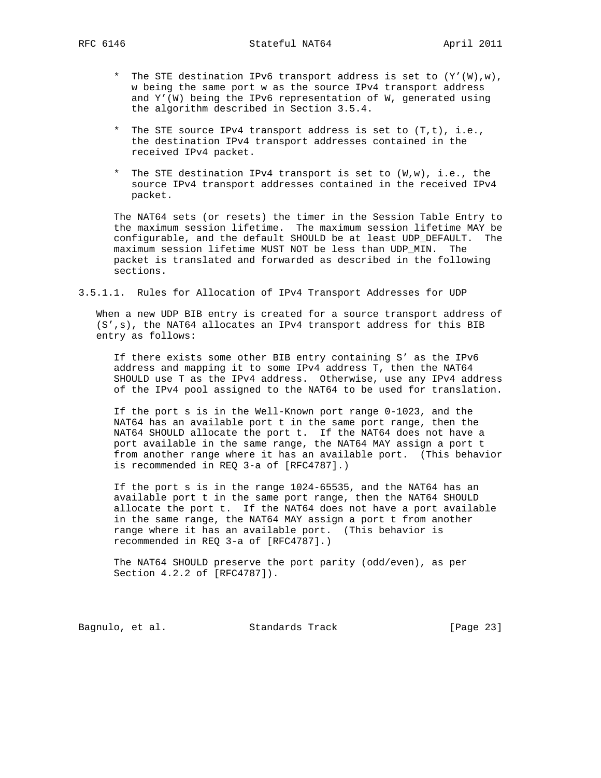- \* The STE destination IPv6 transport address is set to (Y'(W),w), w being the same port w as the source IPv4 transport address and Y'(W) being the IPv6 representation of W, generated using the algorithm described in Section 3.5.4.
- \* The STE source IPv4 transport address is set to (T,t), i.e., the destination IPv4 transport addresses contained in the received IPv4 packet.
- \* The STE destination IPv4 transport is set to (W,w), i.e., the source IPv4 transport addresses contained in the received IPv4 packet.

 The NAT64 sets (or resets) the timer in the Session Table Entry to the maximum session lifetime. The maximum session lifetime MAY be configurable, and the default SHOULD be at least UDP\_DEFAULT. The maximum session lifetime MUST NOT be less than UDP\_MIN. The packet is translated and forwarded as described in the following sections.

3.5.1.1. Rules for Allocation of IPv4 Transport Addresses for UDP

 When a new UDP BIB entry is created for a source transport address of (S',s), the NAT64 allocates an IPv4 transport address for this BIB entry as follows:

 If there exists some other BIB entry containing S' as the IPv6 address and mapping it to some IPv4 address T, then the NAT64 SHOULD use T as the IPv4 address. Otherwise, use any IPv4 address of the IPv4 pool assigned to the NAT64 to be used for translation.

 If the port s is in the Well-Known port range 0-1023, and the NAT64 has an available port t in the same port range, then the NAT64 SHOULD allocate the port t. If the NAT64 does not have a port available in the same range, the NAT64 MAY assign a port t from another range where it has an available port. (This behavior is recommended in REQ 3-a of [RFC4787].)

 If the port s is in the range 1024-65535, and the NAT64 has an available port t in the same port range, then the NAT64 SHOULD allocate the port t. If the NAT64 does not have a port available in the same range, the NAT64 MAY assign a port t from another range where it has an available port. (This behavior is recommended in REQ 3-a of [RFC4787].)

 The NAT64 SHOULD preserve the port parity (odd/even), as per Section 4.2.2 of [RFC4787]).

Bagnulo, et al. Standards Track [Page 23]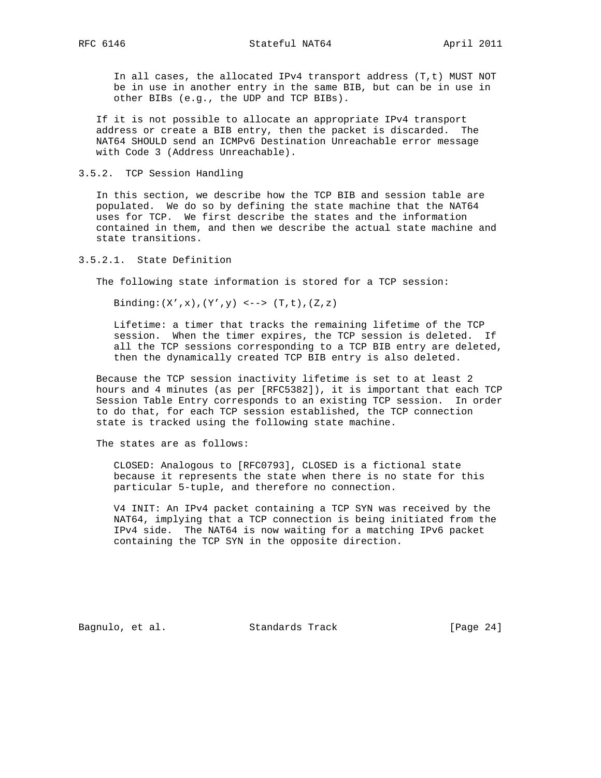In all cases, the allocated IPv4 transport address (T,t) MUST NOT be in use in another entry in the same BIB, but can be in use in other BIBs (e.g., the UDP and TCP BIBs).

 If it is not possible to allocate an appropriate IPv4 transport address or create a BIB entry, then the packet is discarded. The NAT64 SHOULD send an ICMPv6 Destination Unreachable error message with Code 3 (Address Unreachable).

### 3.5.2. TCP Session Handling

 In this section, we describe how the TCP BIB and session table are populated. We do so by defining the state machine that the NAT64 uses for TCP. We first describe the states and the information contained in them, and then we describe the actual state machine and state transitions.

### 3.5.2.1. State Definition

The following state information is stored for a TCP session:

Binding: $(X', x), (Y', y)$  <-->  $(T, t), (Z, z)$ 

 Lifetime: a timer that tracks the remaining lifetime of the TCP session. When the timer expires, the TCP session is deleted. If all the TCP sessions corresponding to a TCP BIB entry are deleted, then the dynamically created TCP BIB entry is also deleted.

 Because the TCP session inactivity lifetime is set to at least 2 hours and 4 minutes (as per [RFC5382]), it is important that each TCP Session Table Entry corresponds to an existing TCP session. In order to do that, for each TCP session established, the TCP connection state is tracked using the following state machine.

The states are as follows:

 CLOSED: Analogous to [RFC0793], CLOSED is a fictional state because it represents the state when there is no state for this particular 5-tuple, and therefore no connection.

 V4 INIT: An IPv4 packet containing a TCP SYN was received by the NAT64, implying that a TCP connection is being initiated from the IPv4 side. The NAT64 is now waiting for a matching IPv6 packet containing the TCP SYN in the opposite direction.

Bagnulo, et al. Standards Track [Page 24]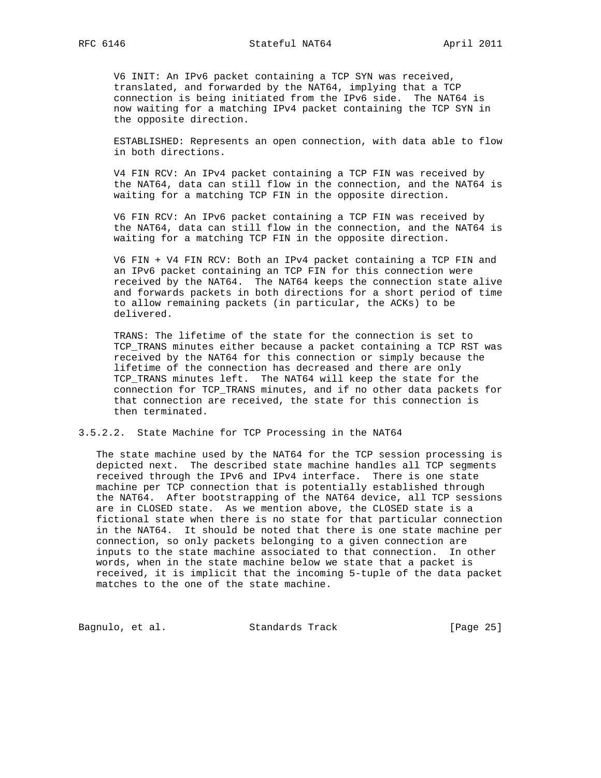V6 INIT: An IPv6 packet containing a TCP SYN was received, translated, and forwarded by the NAT64, implying that a TCP connection is being initiated from the IPv6 side. The NAT64 is now waiting for a matching IPv4 packet containing the TCP SYN in the opposite direction.

 ESTABLISHED: Represents an open connection, with data able to flow in both directions.

 V4 FIN RCV: An IPv4 packet containing a TCP FIN was received by the NAT64, data can still flow in the connection, and the NAT64 is waiting for a matching TCP FIN in the opposite direction.

 V6 FIN RCV: An IPv6 packet containing a TCP FIN was received by the NAT64, data can still flow in the connection, and the NAT64 is waiting for a matching TCP FIN in the opposite direction.

 V6 FIN + V4 FIN RCV: Both an IPv4 packet containing a TCP FIN and an IPv6 packet containing an TCP FIN for this connection were received by the NAT64. The NAT64 keeps the connection state alive and forwards packets in both directions for a short period of time to allow remaining packets (in particular, the ACKs) to be delivered.

 TRANS: The lifetime of the state for the connection is set to TCP\_TRANS minutes either because a packet containing a TCP RST was received by the NAT64 for this connection or simply because the lifetime of the connection has decreased and there are only TCP\_TRANS minutes left. The NAT64 will keep the state for the connection for TCP\_TRANS minutes, and if no other data packets for that connection are received, the state for this connection is then terminated.

3.5.2.2. State Machine for TCP Processing in the NAT64

 The state machine used by the NAT64 for the TCP session processing is depicted next. The described state machine handles all TCP segments received through the IPv6 and IPv4 interface. There is one state machine per TCP connection that is potentially established through the NAT64. After bootstrapping of the NAT64 device, all TCP sessions are in CLOSED state. As we mention above, the CLOSED state is a fictional state when there is no state for that particular connection in the NAT64. It should be noted that there is one state machine per connection, so only packets belonging to a given connection are inputs to the state machine associated to that connection. In other words, when in the state machine below we state that a packet is received, it is implicit that the incoming 5-tuple of the data packet matches to the one of the state machine.

Bagnulo, et al. Standards Track [Page 25]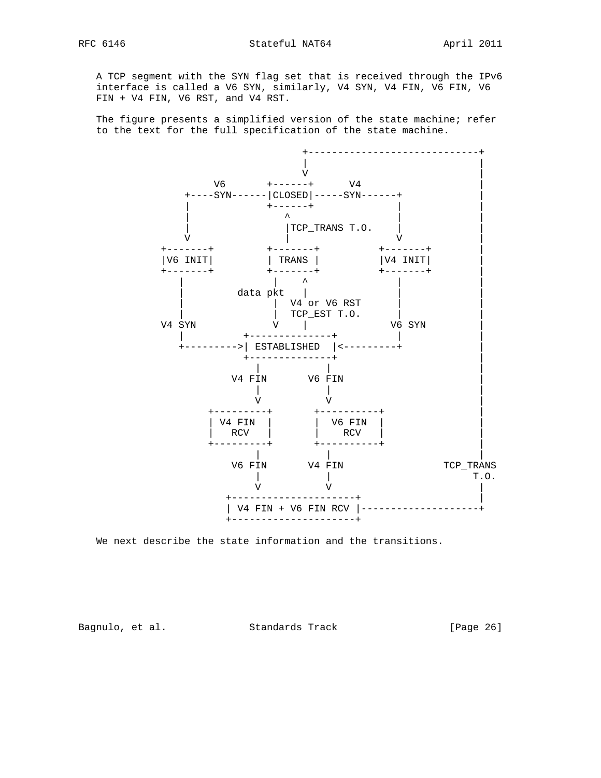A TCP segment with the SYN flag set that is received through the IPv6 interface is called a V6 SYN, similarly, V4 SYN, V4 FIN, V6 FIN, V6 FIN + V4 FIN, V6 RST, and V4 RST.

 The figure presents a simplified version of the state machine; refer to the text for the full specification of the state machine.



We next describe the state information and the transitions.

Bagnulo, et al. Standards Track [Page 26]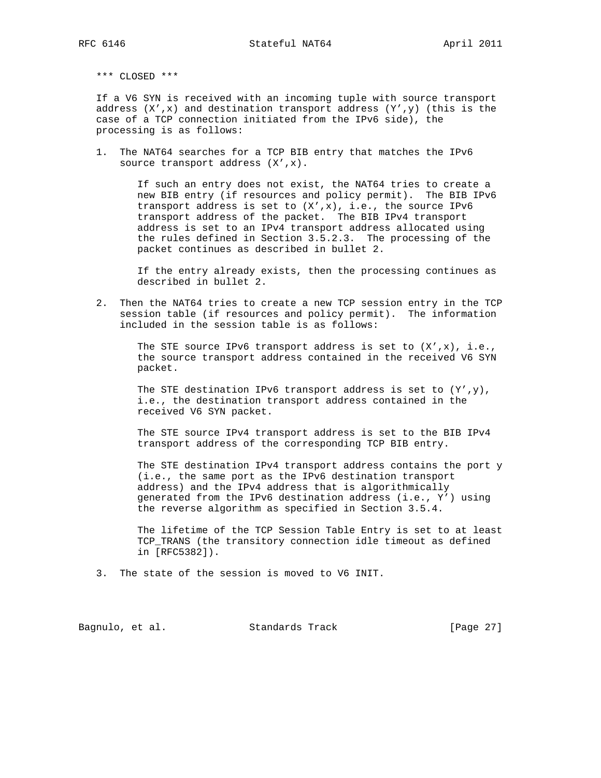\*\*\* CLOSED \*\*\*

 If a V6 SYN is received with an incoming tuple with source transport address  $(X',x)$  and destination transport address  $(Y',y)$  (this is the case of a TCP connection initiated from the IPv6 side), the processing is as follows:

 1. The NAT64 searches for a TCP BIB entry that matches the IPv6 source transport address  $(X', x)$ .

> If such an entry does not exist, the NAT64 tries to create a new BIB entry (if resources and policy permit). The BIB IPv6 transport address is set to (X',x), i.e., the source IPv6 transport address of the packet. The BIB IPv4 transport address is set to an IPv4 transport address allocated using the rules defined in Section 3.5.2.3. The processing of the packet continues as described in bullet 2.

> If the entry already exists, then the processing continues as described in bullet 2.

 2. Then the NAT64 tries to create a new TCP session entry in the TCP session table (if resources and policy permit). The information included in the session table is as follows:

The STE source IPv6 transport address is set to  $(X', x)$ , i.e., the source transport address contained in the received V6 SYN packet.

The STE destination IPv6 transport address is set to  $(Y', y)$ , i.e., the destination transport address contained in the received V6 SYN packet.

 The STE source IPv4 transport address is set to the BIB IPv4 transport address of the corresponding TCP BIB entry.

 The STE destination IPv4 transport address contains the port y (i.e., the same port as the IPv6 destination transport address) and the IPv4 address that is algorithmically generated from the IPv6 destination address (i.e., Y') using the reverse algorithm as specified in Section 3.5.4.

 The lifetime of the TCP Session Table Entry is set to at least TCP\_TRANS (the transitory connection idle timeout as defined in [RFC5382]).

3. The state of the session is moved to V6 INIT.

Bagnulo, et al. Standards Track [Page 27]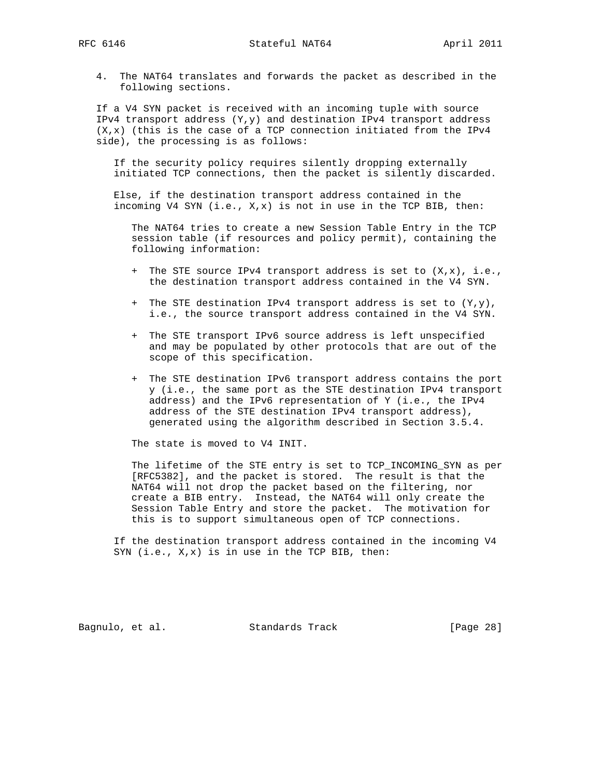4. The NAT64 translates and forwards the packet as described in the following sections.

 If a V4 SYN packet is received with an incoming tuple with source IPv4 transport address (Y,y) and destination IPv4 transport address  $(X, x)$  (this is the case of a TCP connection initiated from the IPv4 side), the processing is as follows:

 If the security policy requires silently dropping externally initiated TCP connections, then the packet is silently discarded.

 Else, if the destination transport address contained in the incoming V4 SYN (i.e., X,x) is not in use in the TCP BIB, then:

 The NAT64 tries to create a new Session Table Entry in the TCP session table (if resources and policy permit), containing the following information:

- + The STE source IPv4 transport address is set to (X,x), i.e., the destination transport address contained in the V4 SYN.
- + The STE destination IPv4 transport address is set to (Y,y), i.e., the source transport address contained in the V4 SYN.
- + The STE transport IPv6 source address is left unspecified and may be populated by other protocols that are out of the scope of this specification.
- + The STE destination IPv6 transport address contains the port y (i.e., the same port as the STE destination IPv4 transport address) and the IPv6 representation of Y (i.e., the IPv4 address of the STE destination IPv4 transport address), generated using the algorithm described in Section 3.5.4.

The state is moved to V4 INIT.

 The lifetime of the STE entry is set to TCP\_INCOMING\_SYN as per [RFC5382], and the packet is stored. The result is that the NAT64 will not drop the packet based on the filtering, nor create a BIB entry. Instead, the NAT64 will only create the Session Table Entry and store the packet. The motivation for this is to support simultaneous open of TCP connections.

 If the destination transport address contained in the incoming V4 SYN (i.e., X,x) is in use in the TCP BIB, then:

Bagnulo, et al. Standards Track [Page 28]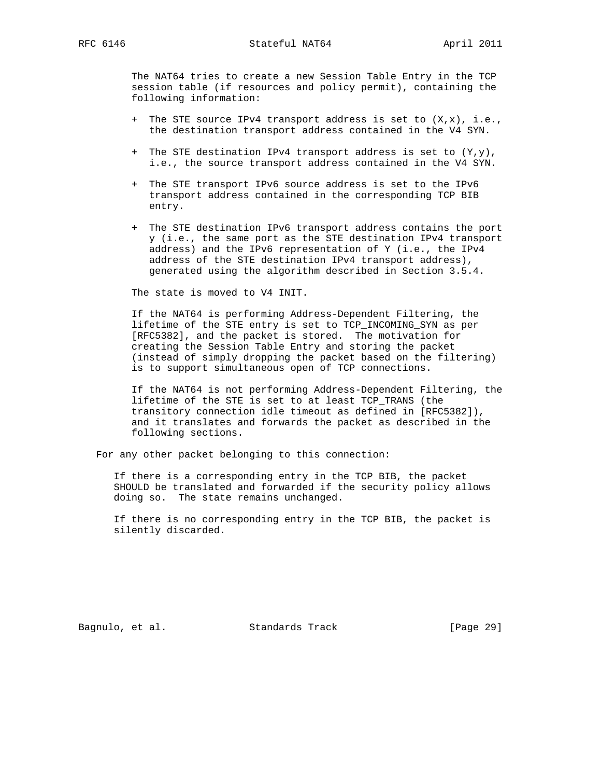The NAT64 tries to create a new Session Table Entry in the TCP session table (if resources and policy permit), containing the following information:

- + The STE source IPv4 transport address is set to (X,x), i.e., the destination transport address contained in the V4 SYN.
- + The STE destination IPv4 transport address is set to  $(Y, y)$ , i.e., the source transport address contained in the V4 SYN.
- + The STE transport IPv6 source address is set to the IPv6 transport address contained in the corresponding TCP BIB entry.
- + The STE destination IPv6 transport address contains the port y (i.e., the same port as the STE destination IPv4 transport address) and the IPv6 representation of Y (i.e., the IPv4 address of the STE destination IPv4 transport address), generated using the algorithm described in Section 3.5.4.

The state is moved to V4 INIT.

 If the NAT64 is performing Address-Dependent Filtering, the lifetime of the STE entry is set to TCP\_INCOMING\_SYN as per [RFC5382], and the packet is stored. The motivation for creating the Session Table Entry and storing the packet (instead of simply dropping the packet based on the filtering) is to support simultaneous open of TCP connections.

 If the NAT64 is not performing Address-Dependent Filtering, the lifetime of the STE is set to at least TCP\_TRANS (the transitory connection idle timeout as defined in [RFC5382]), and it translates and forwards the packet as described in the following sections.

For any other packet belonging to this connection:

 If there is a corresponding entry in the TCP BIB, the packet SHOULD be translated and forwarded if the security policy allows doing so. The state remains unchanged.

 If there is no corresponding entry in the TCP BIB, the packet is silently discarded.

Bagnulo, et al. Standards Track [Page 29]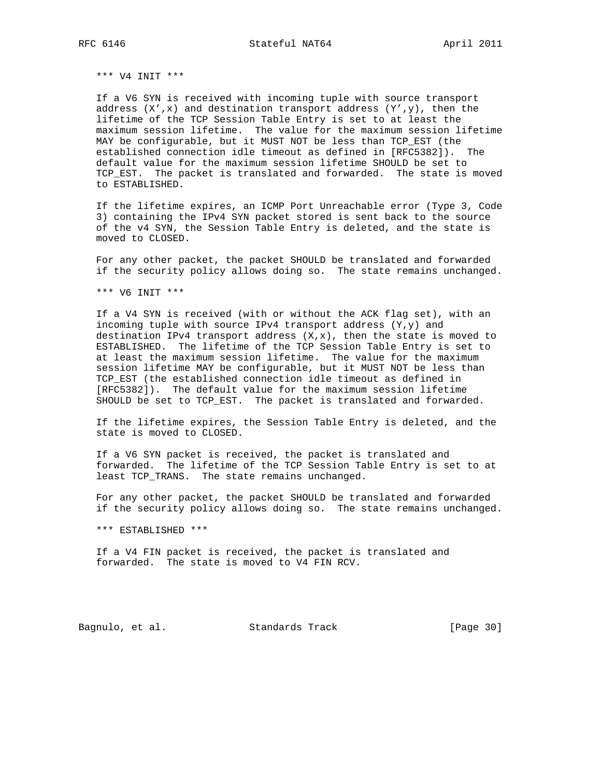\*\*\* V4 INIT \*\*\*

 If a V6 SYN is received with incoming tuple with source transport address  $(X', x)$  and destination transport address  $(Y', y)$ , then the lifetime of the TCP Session Table Entry is set to at least the maximum session lifetime. The value for the maximum session lifetime MAY be configurable, but it MUST NOT be less than TCP\_EST (the established connection idle timeout as defined in [RFC5382]). The default value for the maximum session lifetime SHOULD be set to TCP\_EST. The packet is translated and forwarded. The state is moved to ESTABLISHED.

 If the lifetime expires, an ICMP Port Unreachable error (Type 3, Code 3) containing the IPv4 SYN packet stored is sent back to the source of the v4 SYN, the Session Table Entry is deleted, and the state is moved to CLOSED.

 For any other packet, the packet SHOULD be translated and forwarded if the security policy allows doing so. The state remains unchanged.

\*\*\* V6 INIT \*\*\*

 If a V4 SYN is received (with or without the ACK flag set), with an incoming tuple with source IPv4 transport address (Y,y) and destination IPv4 transport address  $(X, x)$ , then the state is moved to ESTABLISHED. The lifetime of the TCP Session Table Entry is set to at least the maximum session lifetime. The value for the maximum session lifetime MAY be configurable, but it MUST NOT be less than TCP\_EST (the established connection idle timeout as defined in [RFC5382]). The default value for the maximum session lifetime SHOULD be set to TCP\_EST. The packet is translated and forwarded.

 If the lifetime expires, the Session Table Entry is deleted, and the state is moved to CLOSED.

 If a V6 SYN packet is received, the packet is translated and forwarded. The lifetime of the TCP Session Table Entry is set to at least TCP\_TRANS. The state remains unchanged.

 For any other packet, the packet SHOULD be translated and forwarded if the security policy allows doing so. The state remains unchanged.

\*\*\* ESTABLISHED \*\*\*

 If a V4 FIN packet is received, the packet is translated and forwarded. The state is moved to V4 FIN RCV.

Bagnulo, et al. Standards Track [Page 30]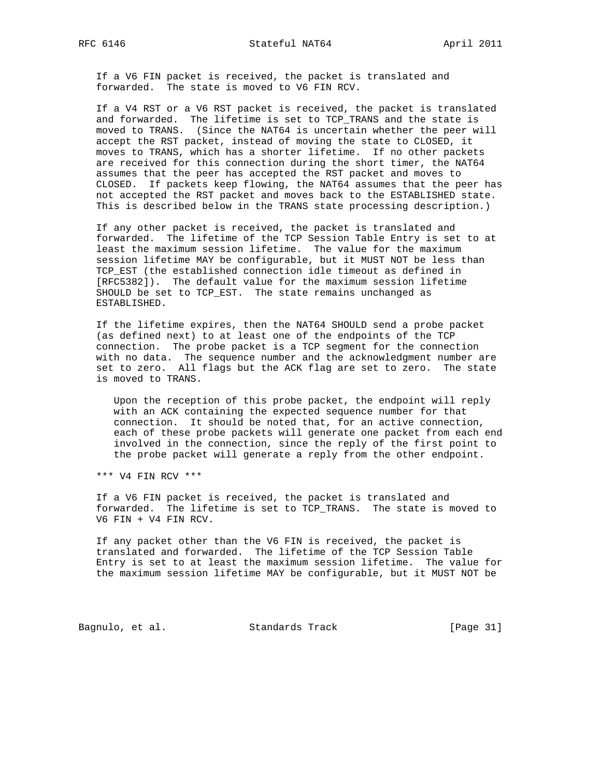If a V6 FIN packet is received, the packet is translated and forwarded. The state is moved to V6 FIN RCV.

 If a V4 RST or a V6 RST packet is received, the packet is translated and forwarded. The lifetime is set to TCP\_TRANS and the state is moved to TRANS. (Since the NAT64 is uncertain whether the peer will accept the RST packet, instead of moving the state to CLOSED, it moves to TRANS, which has a shorter lifetime. If no other packets are received for this connection during the short timer, the NAT64 assumes that the peer has accepted the RST packet and moves to CLOSED. If packets keep flowing, the NAT64 assumes that the peer has not accepted the RST packet and moves back to the ESTABLISHED state. This is described below in the TRANS state processing description.)

 If any other packet is received, the packet is translated and forwarded. The lifetime of the TCP Session Table Entry is set to at least the maximum session lifetime. The value for the maximum session lifetime MAY be configurable, but it MUST NOT be less than TCP\_EST (the established connection idle timeout as defined in [RFC5382]). The default value for the maximum session lifetime SHOULD be set to TCP\_EST. The state remains unchanged as ESTABLISHED.

 If the lifetime expires, then the NAT64 SHOULD send a probe packet (as defined next) to at least one of the endpoints of the TCP connection. The probe packet is a TCP segment for the connection with no data. The sequence number and the acknowledgment number are set to zero. All flags but the ACK flag are set to zero. The state is moved to TRANS.

 Upon the reception of this probe packet, the endpoint will reply with an ACK containing the expected sequence number for that connection. It should be noted that, for an active connection, each of these probe packets will generate one packet from each end involved in the connection, since the reply of the first point to the probe packet will generate a reply from the other endpoint.

\*\*\* V4 FIN RCV \*\*\*

 If a V6 FIN packet is received, the packet is translated and forwarded. The lifetime is set to TCP\_TRANS. The state is moved to V6 FIN + V4 FIN RCV.

 If any packet other than the V6 FIN is received, the packet is translated and forwarded. The lifetime of the TCP Session Table Entry is set to at least the maximum session lifetime. The value for the maximum session lifetime MAY be configurable, but it MUST NOT be

Bagnulo, et al. Standards Track [Page 31]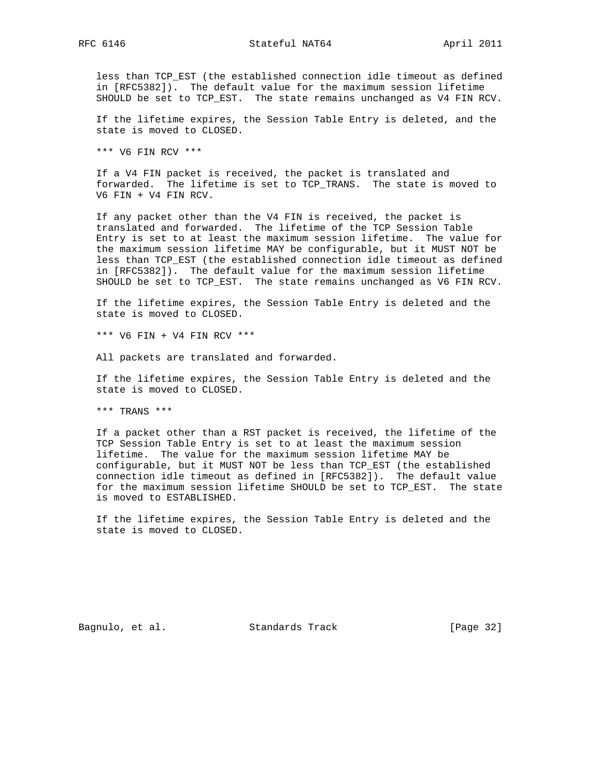less than TCP\_EST (the established connection idle timeout as defined in [RFC5382]). The default value for the maximum session lifetime SHOULD be set to TCP\_EST. The state remains unchanged as V4 FIN RCV.

 If the lifetime expires, the Session Table Entry is deleted, and the state is moved to CLOSED.

\*\*\* V6 FIN RCV \*\*\*

 If a V4 FIN packet is received, the packet is translated and forwarded. The lifetime is set to TCP\_TRANS. The state is moved to V6 FIN + V4 FIN RCV.

 If any packet other than the V4 FIN is received, the packet is translated and forwarded. The lifetime of the TCP Session Table Entry is set to at least the maximum session lifetime. The value for the maximum session lifetime MAY be configurable, but it MUST NOT be less than TCP\_EST (the established connection idle timeout as defined in [RFC5382]). The default value for the maximum session lifetime SHOULD be set to TCP\_EST. The state remains unchanged as V6 FIN RCV.

 If the lifetime expires, the Session Table Entry is deleted and the state is moved to CLOSED.

\*\*\* V6 FIN + V4 FIN RCV \*\*\*

All packets are translated and forwarded.

 If the lifetime expires, the Session Table Entry is deleted and the state is moved to CLOSED.

\*\*\* TRANS \*\*\*

 If a packet other than a RST packet is received, the lifetime of the TCP Session Table Entry is set to at least the maximum session lifetime. The value for the maximum session lifetime MAY be configurable, but it MUST NOT be less than TCP\_EST (the established connection idle timeout as defined in [RFC5382]). The default value for the maximum session lifetime SHOULD be set to TCP\_EST. The state is moved to ESTABLISHED.

 If the lifetime expires, the Session Table Entry is deleted and the state is moved to CLOSED.

Bagnulo, et al. Standards Track [Page 32]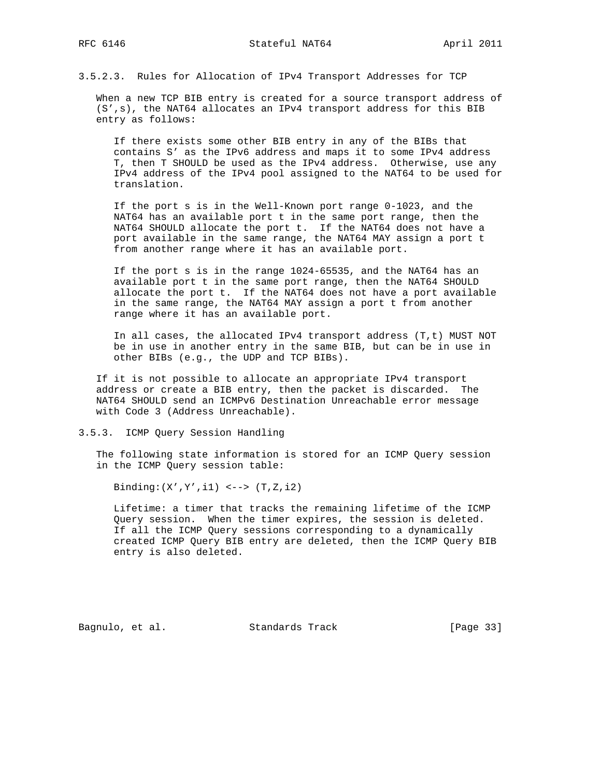3.5.2.3. Rules for Allocation of IPv4 Transport Addresses for TCP

 When a new TCP BIB entry is created for a source transport address of (S',s), the NAT64 allocates an IPv4 transport address for this BIB entry as follows:

 If there exists some other BIB entry in any of the BIBs that contains S' as the IPv6 address and maps it to some IPv4 address T, then T SHOULD be used as the IPv4 address. Otherwise, use any IPv4 address of the IPv4 pool assigned to the NAT64 to be used for translation.

 If the port s is in the Well-Known port range 0-1023, and the NAT64 has an available port t in the same port range, then the NAT64 SHOULD allocate the port t. If the NAT64 does not have a port available in the same range, the NAT64 MAY assign a port t from another range where it has an available port.

 If the port s is in the range 1024-65535, and the NAT64 has an available port t in the same port range, then the NAT64 SHOULD allocate the port t. If the NAT64 does not have a port available in the same range, the NAT64 MAY assign a port t from another range where it has an available port.

 In all cases, the allocated IPv4 transport address (T,t) MUST NOT be in use in another entry in the same BIB, but can be in use in other BIBs (e.g., the UDP and TCP BIBs).

 If it is not possible to allocate an appropriate IPv4 transport address or create a BIB entry, then the packet is discarded. The NAT64 SHOULD send an ICMPv6 Destination Unreachable error message with Code 3 (Address Unreachable).

3.5.3. ICMP Query Session Handling

 The following state information is stored for an ICMP Query session in the ICMP Query session table:

Binding: $(X', Y', i1)$  <-->  $(T, Z, i2)$ 

 Lifetime: a timer that tracks the remaining lifetime of the ICMP Query session. When the timer expires, the session is deleted. If all the ICMP Query sessions corresponding to a dynamically created ICMP Query BIB entry are deleted, then the ICMP Query BIB entry is also deleted.

Bagnulo, et al. Standards Track [Page 33]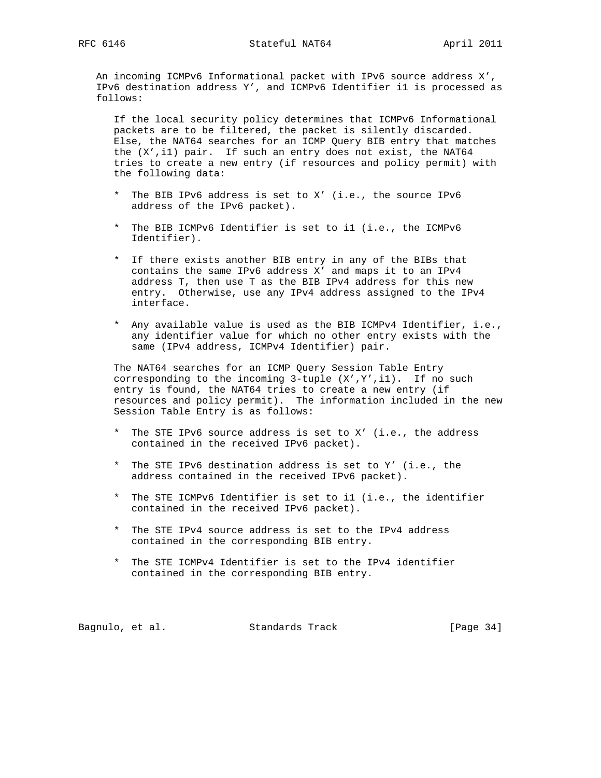An incoming ICMPv6 Informational packet with IPv6 source address X', IPv6 destination address Y', and ICMPv6 Identifier i1 is processed as follows:

 If the local security policy determines that ICMPv6 Informational packets are to be filtered, the packet is silently discarded. Else, the NAT64 searches for an ICMP Query BIB entry that matches the (X',i1) pair. If such an entry does not exist, the NAT64 tries to create a new entry (if resources and policy permit) with the following data:

- \* The BIB IPv6 address is set to X' (i.e., the source IPv6 address of the IPv6 packet).
- \* The BIB ICMPv6 Identifier is set to i1 (i.e., the ICMPv6 Identifier).
- \* If there exists another BIB entry in any of the BIBs that contains the same IPv6 address X' and maps it to an IPv4 address T, then use T as the BIB IPv4 address for this new entry. Otherwise, use any IPv4 address assigned to the IPv4 interface.
- \* Any available value is used as the BIB ICMPv4 Identifier, i.e., any identifier value for which no other entry exists with the same (IPv4 address, ICMPv4 Identifier) pair.

 The NAT64 searches for an ICMP Query Session Table Entry corresponding to the incoming 3-tuple (X',Y',i1). If no such entry is found, the NAT64 tries to create a new entry (if resources and policy permit). The information included in the new Session Table Entry is as follows:

- \* The STE IPv6 source address is set to X' (i.e., the address contained in the received IPv6 packet).
- \* The STE IPv6 destination address is set to Y' (i.e., the address contained in the received IPv6 packet).
- \* The STE ICMPv6 Identifier is set to i1 (i.e., the identifier contained in the received IPv6 packet).
- \* The STE IPv4 source address is set to the IPv4 address contained in the corresponding BIB entry.
- \* The STE ICMPv4 Identifier is set to the IPv4 identifier contained in the corresponding BIB entry.

Bagnulo, et al. Standards Track [Page 34]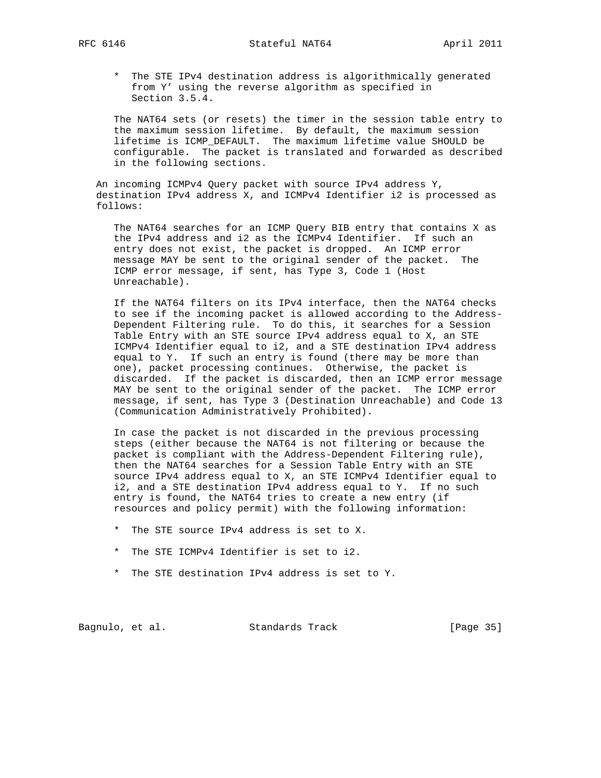\* The STE IPv4 destination address is algorithmically generated from Y' using the reverse algorithm as specified in Section 3.5.4.

 The NAT64 sets (or resets) the timer in the session table entry to the maximum session lifetime. By default, the maximum session lifetime is ICMP\_DEFAULT. The maximum lifetime value SHOULD be configurable. The packet is translated and forwarded as described in the following sections.

 An incoming ICMPv4 Query packet with source IPv4 address Y, destination IPv4 address X, and ICMPv4 Identifier i2 is processed as follows:

 The NAT64 searches for an ICMP Query BIB entry that contains X as the IPv4 address and i2 as the ICMPv4 Identifier. If such an entry does not exist, the packet is dropped. An ICMP error message MAY be sent to the original sender of the packet. The ICMP error message, if sent, has Type 3, Code 1 (Host Unreachable).

 If the NAT64 filters on its IPv4 interface, then the NAT64 checks to see if the incoming packet is allowed according to the Address- Dependent Filtering rule. To do this, it searches for a Session Table Entry with an STE source IPv4 address equal to X, an STE ICMPv4 Identifier equal to i2, and a STE destination IPv4 address equal to Y. If such an entry is found (there may be more than one), packet processing continues. Otherwise, the packet is discarded. If the packet is discarded, then an ICMP error message MAY be sent to the original sender of the packet. The ICMP error message, if sent, has Type 3 (Destination Unreachable) and Code 13 (Communication Administratively Prohibited).

 In case the packet is not discarded in the previous processing steps (either because the NAT64 is not filtering or because the packet is compliant with the Address-Dependent Filtering rule), then the NAT64 searches for a Session Table Entry with an STE source IPv4 address equal to X, an STE ICMPv4 Identifier equal to i2, and a STE destination IPv4 address equal to Y. If no such entry is found, the NAT64 tries to create a new entry (if resources and policy permit) with the following information:

- \* The STE source IPv4 address is set to X.
- \* The STE ICMPv4 Identifier is set to i2.
- \* The STE destination IPv4 address is set to Y.

Bagnulo, et al. Standards Track [Page 35]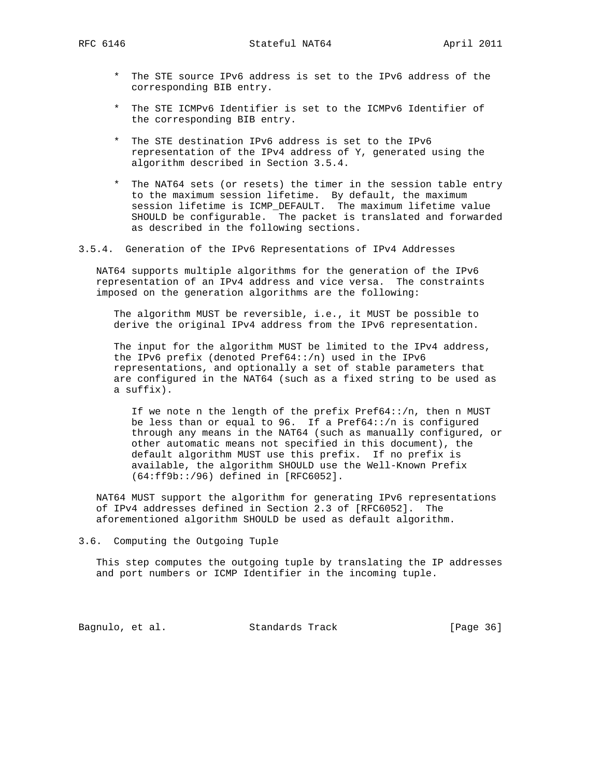RFC 6146 **Stateful NAT64** April 2011

- \* The STE source IPv6 address is set to the IPv6 address of the corresponding BIB entry.
- \* The STE ICMPv6 Identifier is set to the ICMPv6 Identifier of the corresponding BIB entry.
- \* The STE destination IPv6 address is set to the IPv6 representation of the IPv4 address of Y, generated using the algorithm described in Section 3.5.4.
- \* The NAT64 sets (or resets) the timer in the session table entry to the maximum session lifetime. By default, the maximum session lifetime is ICMP\_DEFAULT. The maximum lifetime value SHOULD be configurable. The packet is translated and forwarded as described in the following sections.
- 3.5.4. Generation of the IPv6 Representations of IPv4 Addresses

 NAT64 supports multiple algorithms for the generation of the IPv6 representation of an IPv4 address and vice versa. The constraints imposed on the generation algorithms are the following:

 The algorithm MUST be reversible, i.e., it MUST be possible to derive the original IPv4 address from the IPv6 representation.

 The input for the algorithm MUST be limited to the IPv4 address, the IPv6 prefix (denoted Pref64::/n) used in the IPv6 representations, and optionally a set of stable parameters that are configured in the NAT64 (such as a fixed string to be used as a suffix).

 If we note n the length of the prefix Pref64::/n, then n MUST be less than or equal to  $96.$  If a Pref64::/n is configured through any means in the NAT64 (such as manually configured, or other automatic means not specified in this document), the default algorithm MUST use this prefix. If no prefix is available, the algorithm SHOULD use the Well-Known Prefix (64:ff9b::/96) defined in [RFC6052].

 NAT64 MUST support the algorithm for generating IPv6 representations of IPv4 addresses defined in Section 2.3 of [RFC6052]. The aforementioned algorithm SHOULD be used as default algorithm.

3.6. Computing the Outgoing Tuple

 This step computes the outgoing tuple by translating the IP addresses and port numbers or ICMP Identifier in the incoming tuple.

Bagnulo, et al. Standards Track [Page 36]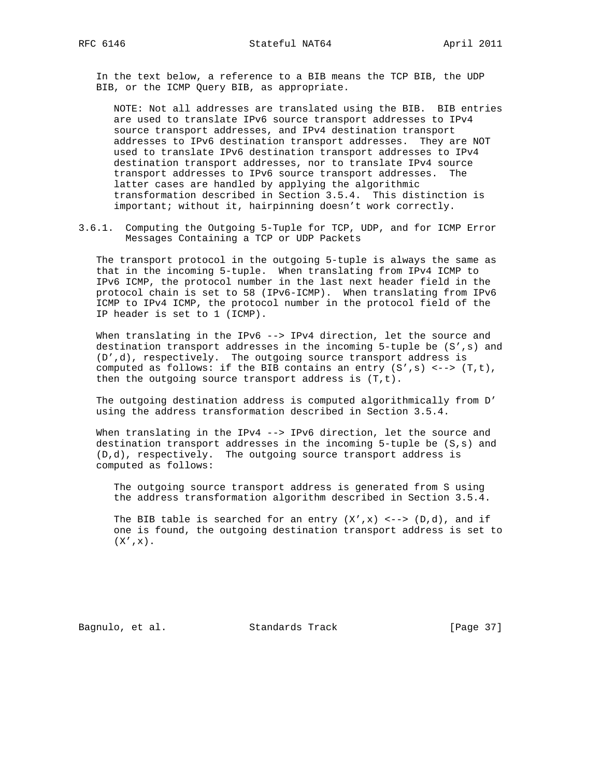In the text below, a reference to a BIB means the TCP BIB, the UDP BIB, or the ICMP Query BIB, as appropriate.

 NOTE: Not all addresses are translated using the BIB. BIB entries are used to translate IPv6 source transport addresses to IPv4 source transport addresses, and IPv4 destination transport addresses to IPv6 destination transport addresses. They are NOT used to translate IPv6 destination transport addresses to IPv4 destination transport addresses, nor to translate IPv4 source transport addresses to IPv6 source transport addresses. The latter cases are handled by applying the algorithmic transformation described in Section 3.5.4. This distinction is important; without it, hairpinning doesn't work correctly.

3.6.1. Computing the Outgoing 5-Tuple for TCP, UDP, and for ICMP Error Messages Containing a TCP or UDP Packets

 The transport protocol in the outgoing 5-tuple is always the same as that in the incoming 5-tuple. When translating from IPv4 ICMP to IPv6 ICMP, the protocol number in the last next header field in the protocol chain is set to 58 (IPv6-ICMP). When translating from IPv6 ICMP to IPv4 ICMP, the protocol number in the protocol field of the IP header is set to 1 (ICMP).

When translating in the IPv6 --> IPv4 direction, let the source and destination transport addresses in the incoming 5-tuple be (S',s) and (D',d), respectively. The outgoing source transport address is computed as follows: if the BIB contains an entry (S',s) <--> (T,t), then the outgoing source transport address is (T,t).

 The outgoing destination address is computed algorithmically from D' using the address transformation described in Section 3.5.4.

When translating in the IPv4 --> IPv6 direction, let the source and destination transport addresses in the incoming 5-tuple be (S,s) and (D,d), respectively. The outgoing source transport address is computed as follows:

 The outgoing source transport address is generated from S using the address transformation algorithm described in Section 3.5.4.

The BIB table is searched for an entry  $(X', x)$  <-->  $(D,d)$ , and if one is found, the outgoing destination transport address is set to  $(X', x)$ .

Bagnulo, et al. Standards Track [Page 37]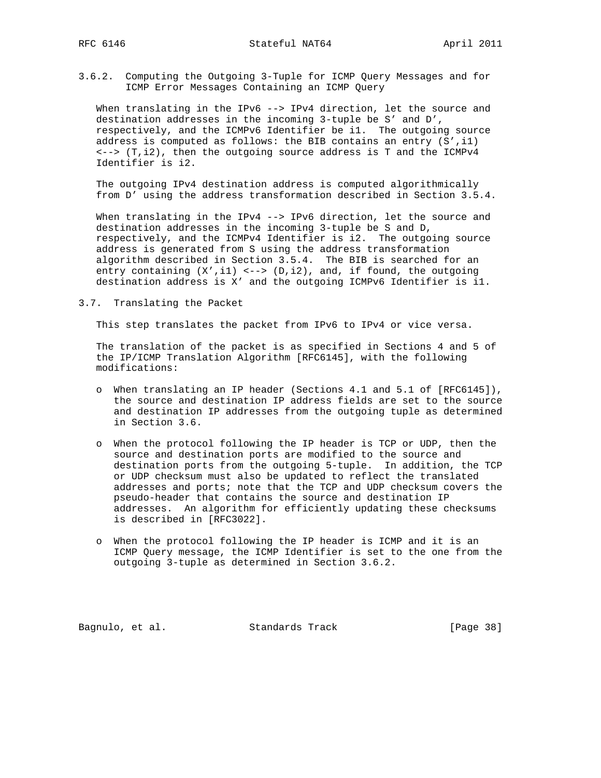3.6.2. Computing the Outgoing 3-Tuple for ICMP Query Messages and for ICMP Error Messages Containing an ICMP Query

When translating in the IPv6 --> IPv4 direction, let the source and destination addresses in the incoming 3-tuple be S' and D', respectively, and the ICMPv6 Identifier be i1. The outgoing source address is computed as follows: the BIB contains an entry  $(S', i1)$  $\langle -\rangle$  (T,i2), then the outgoing source address is T and the ICMPv4 Identifier is i2.

 The outgoing IPv4 destination address is computed algorithmically from D' using the address transformation described in Section 3.5.4.

When translating in the IPv4 --> IPv6 direction, let the source and destination addresses in the incoming 3-tuple be S and D, respectively, and the ICMPv4 Identifier is i2. The outgoing source address is generated from S using the address transformation algorithm described in Section 3.5.4. The BIB is searched for an entry containing  $(X', i1)$  <-->  $(D, i2)$ , and, if found, the outgoing destination address is X' and the outgoing ICMPv6 Identifier is i1.

3.7. Translating the Packet

This step translates the packet from IPv6 to IPv4 or vice versa.

 The translation of the packet is as specified in Sections 4 and 5 of the IP/ICMP Translation Algorithm [RFC6145], with the following modifications:

- o When translating an IP header (Sections 4.1 and 5.1 of [RFC6145]), the source and destination IP address fields are set to the source and destination IP addresses from the outgoing tuple as determined in Section 3.6.
- o When the protocol following the IP header is TCP or UDP, then the source and destination ports are modified to the source and destination ports from the outgoing 5-tuple. In addition, the TCP or UDP checksum must also be updated to reflect the translated addresses and ports; note that the TCP and UDP checksum covers the pseudo-header that contains the source and destination IP addresses. An algorithm for efficiently updating these checksums is described in [RFC3022].
- o When the protocol following the IP header is ICMP and it is an ICMP Query message, the ICMP Identifier is set to the one from the outgoing 3-tuple as determined in Section 3.6.2.

Bagnulo, et al. Standards Track [Page 38]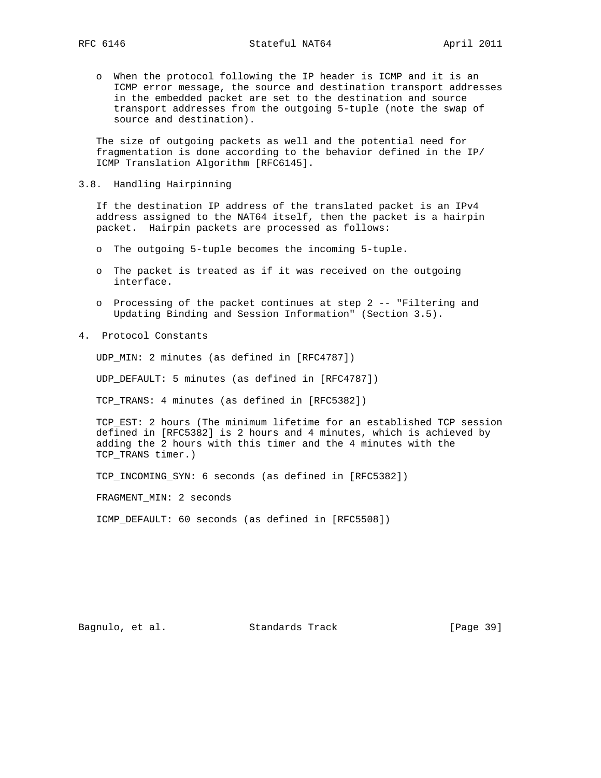o When the protocol following the IP header is ICMP and it is an ICMP error message, the source and destination transport addresses in the embedded packet are set to the destination and source transport addresses from the outgoing 5-tuple (note the swap of source and destination).

 The size of outgoing packets as well and the potential need for fragmentation is done according to the behavior defined in the IP/ ICMP Translation Algorithm [RFC6145].

3.8. Handling Hairpinning

 If the destination IP address of the translated packet is an IPv4 address assigned to the NAT64 itself, then the packet is a hairpin packet. Hairpin packets are processed as follows:

- o The outgoing 5-tuple becomes the incoming 5-tuple.
- o The packet is treated as if it was received on the outgoing interface.
- o Processing of the packet continues at step 2 -- "Filtering and Updating Binding and Session Information" (Section 3.5).
- 4. Protocol Constants

UDP\_MIN: 2 minutes (as defined in [RFC4787])

UDP\_DEFAULT: 5 minutes (as defined in [RFC4787])

TCP\_TRANS: 4 minutes (as defined in [RFC5382])

 TCP\_EST: 2 hours (The minimum lifetime for an established TCP session defined in [RFC5382] is 2 hours and 4 minutes, which is achieved by adding the 2 hours with this timer and the 4 minutes with the TCP\_TRANS timer.)

TCP\_INCOMING\_SYN: 6 seconds (as defined in [RFC5382])

FRAGMENT MIN: 2 seconds

ICMP\_DEFAULT: 60 seconds (as defined in [RFC5508])

Bagnulo, et al. Standards Track [Page 39]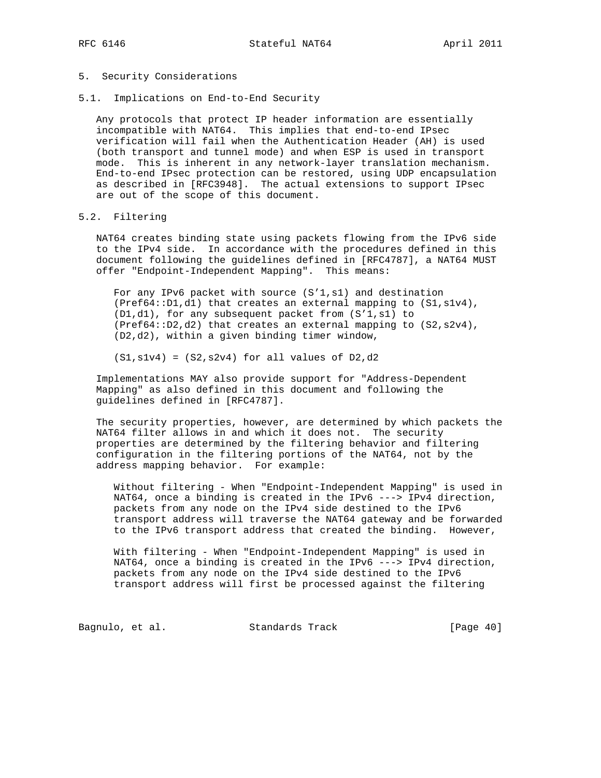### 5. Security Considerations

5.1. Implications on End-to-End Security

 Any protocols that protect IP header information are essentially incompatible with NAT64. This implies that end-to-end IPsec verification will fail when the Authentication Header (AH) is used (both transport and tunnel mode) and when ESP is used in transport mode. This is inherent in any network-layer translation mechanism. End-to-end IPsec protection can be restored, using UDP encapsulation as described in [RFC3948]. The actual extensions to support IPsec are out of the scope of this document.

### 5.2. Filtering

 NAT64 creates binding state using packets flowing from the IPv6 side to the IPv4 side. In accordance with the procedures defined in this document following the guidelines defined in [RFC4787], a NAT64 MUST offer "Endpoint-Independent Mapping". This means:

 For any IPv6 packet with source (S'1,s1) and destination (Pref64::D1,d1) that creates an external mapping to (S1,s1v4), (D1,d1), for any subsequent packet from (S'1,s1) to (Pref64::D2,d2) that creates an external mapping to (S2,s2v4), (D2,d2), within a given binding timer window,

 $(S1, s1v4) = (S2, s2v4)$  for all values of D2,d2

 Implementations MAY also provide support for "Address-Dependent Mapping" as also defined in this document and following the guidelines defined in [RFC4787].

 The security properties, however, are determined by which packets the NAT64 filter allows in and which it does not. The security properties are determined by the filtering behavior and filtering configuration in the filtering portions of the NAT64, not by the address mapping behavior. For example:

 Without filtering - When "Endpoint-Independent Mapping" is used in NAT64, once a binding is created in the IPv6 ---> IPv4 direction, packets from any node on the IPv4 side destined to the IPv6 transport address will traverse the NAT64 gateway and be forwarded to the IPv6 transport address that created the binding. However,

 With filtering - When "Endpoint-Independent Mapping" is used in NAT64, once a binding is created in the IPv6 ---> IPv4 direction, packets from any node on the IPv4 side destined to the IPv6 transport address will first be processed against the filtering

Bagnulo, et al. Standards Track [Page 40]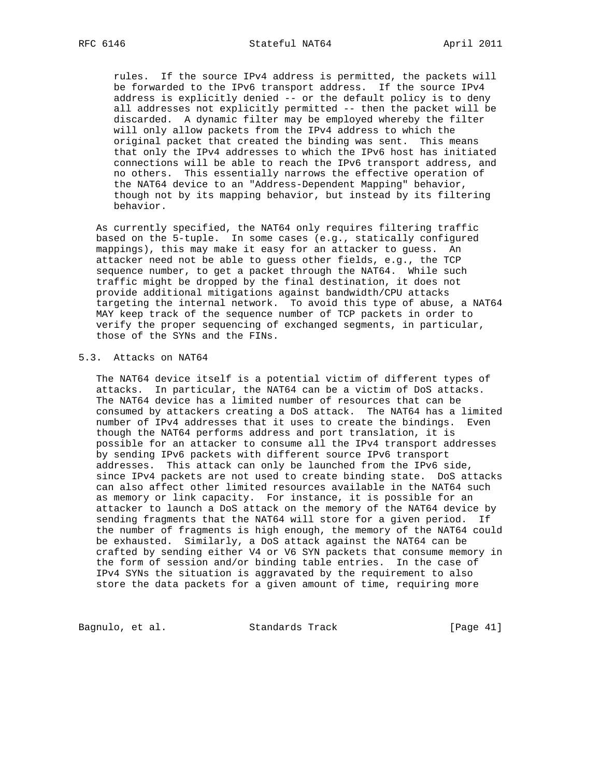rules. If the source IPv4 address is permitted, the packets will be forwarded to the IPv6 transport address. If the source IPv4 address is explicitly denied -- or the default policy is to deny all addresses not explicitly permitted -- then the packet will be discarded. A dynamic filter may be employed whereby the filter will only allow packets from the IPv4 address to which the original packet that created the binding was sent. This means that only the IPv4 addresses to which the IPv6 host has initiated connections will be able to reach the IPv6 transport address, and no others. This essentially narrows the effective operation of the NAT64 device to an "Address-Dependent Mapping" behavior, though not by its mapping behavior, but instead by its filtering behavior.

 As currently specified, the NAT64 only requires filtering traffic based on the 5-tuple. In some cases (e.g., statically configured mappings), this may make it easy for an attacker to guess. An attacker need not be able to guess other fields, e.g., the TCP sequence number, to get a packet through the NAT64. While such traffic might be dropped by the final destination, it does not provide additional mitigations against bandwidth/CPU attacks targeting the internal network. To avoid this type of abuse, a NAT64 MAY keep track of the sequence number of TCP packets in order to verify the proper sequencing of exchanged segments, in particular, those of the SYNs and the FINs.

# 5.3. Attacks on NAT64

 The NAT64 device itself is a potential victim of different types of attacks. In particular, the NAT64 can be a victim of DoS attacks. The NAT64 device has a limited number of resources that can be consumed by attackers creating a DoS attack. The NAT64 has a limited number of IPv4 addresses that it uses to create the bindings. Even though the NAT64 performs address and port translation, it is possible for an attacker to consume all the IPv4 transport addresses by sending IPv6 packets with different source IPv6 transport addresses. This attack can only be launched from the IPv6 side, since IPv4 packets are not used to create binding state. DoS attacks can also affect other limited resources available in the NAT64 such as memory or link capacity. For instance, it is possible for an attacker to launch a DoS attack on the memory of the NAT64 device by sending fragments that the NAT64 will store for a given period. If the number of fragments is high enough, the memory of the NAT64 could be exhausted. Similarly, a DoS attack against the NAT64 can be crafted by sending either V4 or V6 SYN packets that consume memory in the form of session and/or binding table entries. In the case of IPv4 SYNs the situation is aggravated by the requirement to also store the data packets for a given amount of time, requiring more

Bagnulo, et al. Standards Track [Page 41]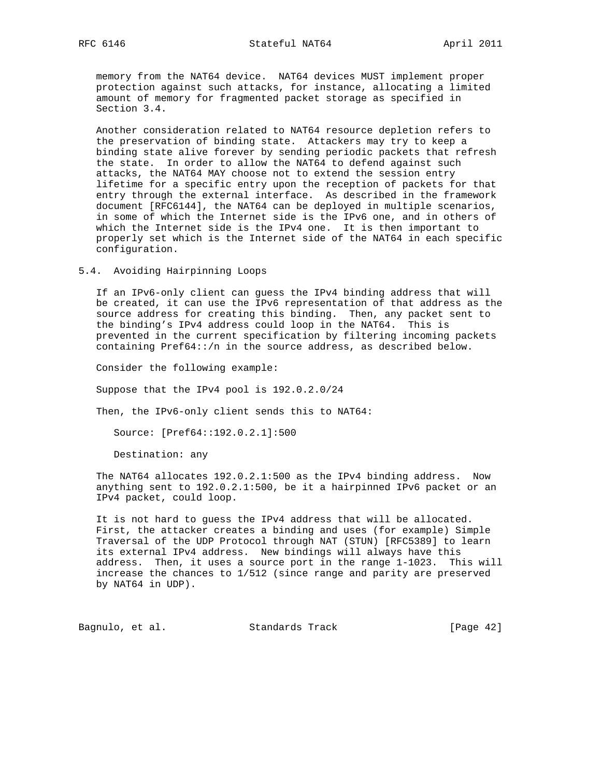memory from the NAT64 device. NAT64 devices MUST implement proper protection against such attacks, for instance, allocating a limited amount of memory for fragmented packet storage as specified in Section 3.4.

 Another consideration related to NAT64 resource depletion refers to the preservation of binding state. Attackers may try to keep a binding state alive forever by sending periodic packets that refresh the state. In order to allow the NAT64 to defend against such attacks, the NAT64 MAY choose not to extend the session entry lifetime for a specific entry upon the reception of packets for that entry through the external interface. As described in the framework document [RFC6144], the NAT64 can be deployed in multiple scenarios, in some of which the Internet side is the IPv6 one, and in others of which the Internet side is the IPv4 one. It is then important to properly set which is the Internet side of the NAT64 in each specific configuration.

5.4. Avoiding Hairpinning Loops

 If an IPv6-only client can guess the IPv4 binding address that will be created, it can use the IPv6 representation of that address as the source address for creating this binding. Then, any packet sent to the binding's IPv4 address could loop in the NAT64. This is prevented in the current specification by filtering incoming packets containing Pref64::/n in the source address, as described below.

Consider the following example:

Suppose that the IPv4 pool is 192.0.2.0/24

Then, the IPv6-only client sends this to NAT64:

Source: [Pref64::192.0.2.1]:500

Destination: any

 The NAT64 allocates 192.0.2.1:500 as the IPv4 binding address. Now anything sent to 192.0.2.1:500, be it a hairpinned IPv6 packet or an IPv4 packet, could loop.

 It is not hard to guess the IPv4 address that will be allocated. First, the attacker creates a binding and uses (for example) Simple Traversal of the UDP Protocol through NAT (STUN) [RFC5389] to learn its external IPv4 address. New bindings will always have this address. Then, it uses a source port in the range 1-1023. This will increase the chances to 1/512 (since range and parity are preserved by NAT64 in UDP).

Bagnulo, et al. Standards Track [Page 42]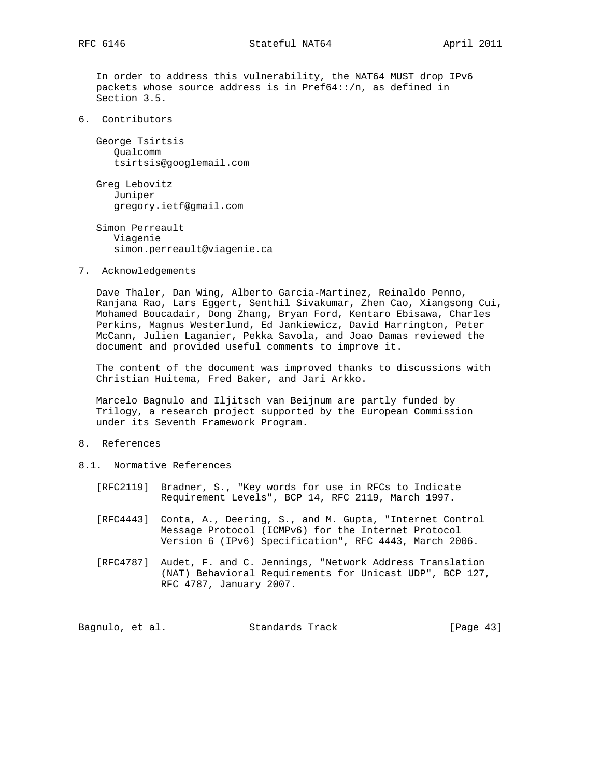In order to address this vulnerability, the NAT64 MUST drop IPv6 packets whose source address is in Pref64::/n, as defined in Section 3.5.

6. Contributors

 George Tsirtsis Qualcomm tsirtsis@googlemail.com

 Greg Lebovitz Juniper gregory.ietf@gmail.com

 Simon Perreault Viagenie simon.perreault@viagenie.ca

7. Acknowledgements

 Dave Thaler, Dan Wing, Alberto Garcia-Martinez, Reinaldo Penno, Ranjana Rao, Lars Eggert, Senthil Sivakumar, Zhen Cao, Xiangsong Cui, Mohamed Boucadair, Dong Zhang, Bryan Ford, Kentaro Ebisawa, Charles Perkins, Magnus Westerlund, Ed Jankiewicz, David Harrington, Peter McCann, Julien Laganier, Pekka Savola, and Joao Damas reviewed the document and provided useful comments to improve it.

 The content of the document was improved thanks to discussions with Christian Huitema, Fred Baker, and Jari Arkko.

 Marcelo Bagnulo and Iljitsch van Beijnum are partly funded by Trilogy, a research project supported by the European Commission under its Seventh Framework Program.

- 8. References
- 8.1. Normative References
	- [RFC2119] Bradner, S., "Key words for use in RFCs to Indicate Requirement Levels", BCP 14, RFC 2119, March 1997.
	- [RFC4443] Conta, A., Deering, S., and M. Gupta, "Internet Control Message Protocol (ICMPv6) for the Internet Protocol Version 6 (IPv6) Specification", RFC 4443, March 2006.
	- [RFC4787] Audet, F. and C. Jennings, "Network Address Translation (NAT) Behavioral Requirements for Unicast UDP", BCP 127, RFC 4787, January 2007.

Bagnulo, et al. Standards Track [Page 43]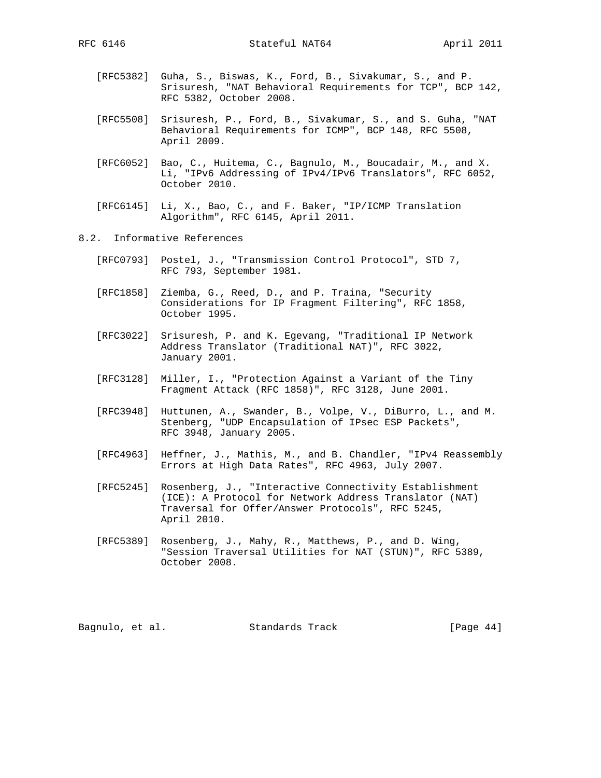- [RFC5382] Guha, S., Biswas, K., Ford, B., Sivakumar, S., and P. Srisuresh, "NAT Behavioral Requirements for TCP", BCP 142, RFC 5382, October 2008.
- [RFC5508] Srisuresh, P., Ford, B., Sivakumar, S., and S. Guha, "NAT Behavioral Requirements for ICMP", BCP 148, RFC 5508, April 2009.
- [RFC6052] Bao, C., Huitema, C., Bagnulo, M., Boucadair, M., and X. Li, "IPv6 Addressing of IPv4/IPv6 Translators", RFC 6052, October 2010.
- [RFC6145] Li, X., Bao, C., and F. Baker, "IP/ICMP Translation Algorithm", RFC 6145, April 2011.
- 8.2. Informative References
	- [RFC0793] Postel, J., "Transmission Control Protocol", STD 7, RFC 793, September 1981.
	- [RFC1858] Ziemba, G., Reed, D., and P. Traina, "Security Considerations for IP Fragment Filtering", RFC 1858, October 1995.
	- [RFC3022] Srisuresh, P. and K. Egevang, "Traditional IP Network Address Translator (Traditional NAT)", RFC 3022, January 2001.
	- [RFC3128] Miller, I., "Protection Against a Variant of the Tiny Fragment Attack (RFC 1858)", RFC 3128, June 2001.
	- [RFC3948] Huttunen, A., Swander, B., Volpe, V., DiBurro, L., and M. Stenberg, "UDP Encapsulation of IPsec ESP Packets", RFC 3948, January 2005.
	- [RFC4963] Heffner, J., Mathis, M., and B. Chandler, "IPv4 Reassembly Errors at High Data Rates", RFC 4963, July 2007.
	- [RFC5245] Rosenberg, J., "Interactive Connectivity Establishment (ICE): A Protocol for Network Address Translator (NAT) Traversal for Offer/Answer Protocols", RFC 5245, April 2010.
	- [RFC5389] Rosenberg, J., Mahy, R., Matthews, P., and D. Wing, "Session Traversal Utilities for NAT (STUN)", RFC 5389, October 2008.

Bagnulo, et al. Standards Track [Page 44]